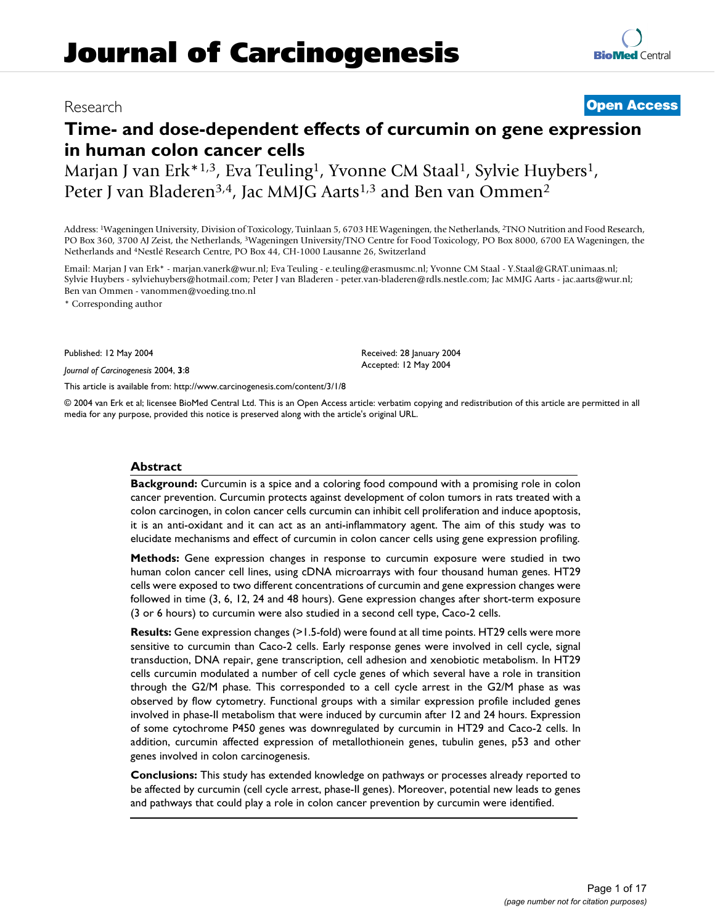# **Time- and dose-dependent effects of curcumin on gene expression in human colon cancer cells**

Marjan J van Erk<sup>\*1,3</sup>, Eva Teuling<sup>1</sup>, Yvonne CM Staal<sup>1</sup>, Sylvie Huybers<sup>1</sup>, Peter J van Bladeren<sup>3,4</sup>, Jac MMJG Aarts<sup>1,3</sup> and Ben van Ommen<sup>2</sup>

Address: 1Wageningen University, Division of Toxicology, Tuinlaan 5, 6703 HE Wageningen, the Netherlands, 2TNO Nutrition and Food Research, PO Box 360, 3700 AJ Zeist, the Netherlands, 3Wageningen University/TNO Centre for Food Toxicology, PO Box 8000, 6700 EA Wageningen, the Netherlands and 4Nestlé Research Centre, PO Box 44, CH-1000 Lausanne 26, Switzerland

Email: Marjan J van Erk\* - marjan.vanerk@wur.nl; Eva Teuling - e.teuling@erasmusmc.nl; Yvonne CM Staal - Y.Staal@GRAT.unimaas.nl; Sylvie Huybers - sylviehuybers@hotmail.com; Peter J van Bladeren - peter.van-bladeren@rdls.nestle.com; Jac MMJG Aarts - jac.aarts@wur.nl; Ben van Ommen - vanommen@voeding.tno.nl

\* Corresponding author

Published: 12 May 2004

*Journal of Carcinogenesis* 2004, **3**:8

[This article is available from: http://www.carcinogenesis.com/content/3/1/8](http://www.carcinogenesis.com/content/3/1/8)

© 2004 van Erk et al; licensee BioMed Central Ltd. This is an Open Access article: verbatim copying and redistribution of this article are permitted in all media for any purpose, provided this notice is preserved along with the article's original URL.

### **Abstract**

**Background:** Curcumin is a spice and a coloring food compound with a promising role in colon cancer prevention. Curcumin protects against development of colon tumors in rats treated with a colon carcinogen, in colon cancer cells curcumin can inhibit cell proliferation and induce apoptosis, it is an anti-oxidant and it can act as an anti-inflammatory agent. The aim of this study was to elucidate mechanisms and effect of curcumin in colon cancer cells using gene expression profiling.

**Methods:** Gene expression changes in response to curcumin exposure were studied in two human colon cancer cell lines, using cDNA microarrays with four thousand human genes. HT29 cells were exposed to two different concentrations of curcumin and gene expression changes were followed in time (3, 6, 12, 24 and 48 hours). Gene expression changes after short-term exposure (3 or 6 hours) to curcumin were also studied in a second cell type, Caco-2 cells.

**Results:** Gene expression changes (>1.5-fold) were found at all time points. HT29 cells were more sensitive to curcumin than Caco-2 cells. Early response genes were involved in cell cycle, signal transduction, DNA repair, gene transcription, cell adhesion and xenobiotic metabolism. In HT29 cells curcumin modulated a number of cell cycle genes of which several have a role in transition through the G2/M phase. This corresponded to a cell cycle arrest in the G2/M phase as was observed by flow cytometry. Functional groups with a similar expression profile included genes involved in phase-II metabolism that were induced by curcumin after 12 and 24 hours. Expression of some cytochrome P450 genes was downregulated by curcumin in HT29 and Caco-2 cells. In addition, curcumin affected expression of metallothionein genes, tubulin genes, p53 and other genes involved in colon carcinogenesis.

**Conclusions:** This study has extended knowledge on pathways or processes already reported to be affected by curcumin (cell cycle arrest, phase-II genes). Moreover, potential new leads to genes and pathways that could play a role in colon cancer prevention by curcumin were identified.

# Research **[Open Access](http://www.biomedcentral.com/info/about/charter/)**

Received: 28 January 2004 Accepted: 12 May 2004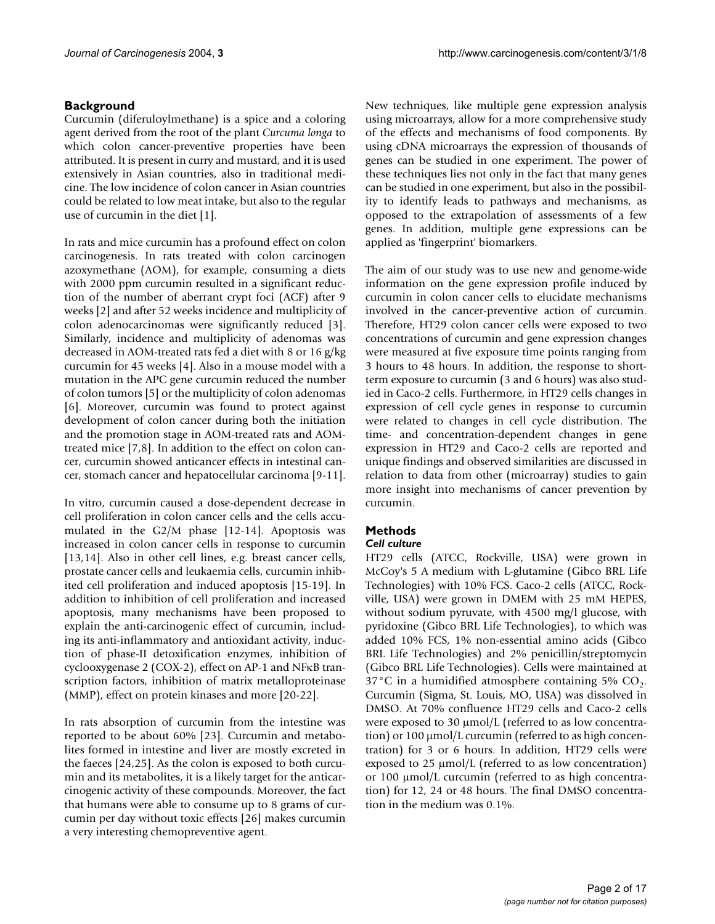# **Background**

Curcumin (diferuloylmethane) is a spice and a coloring agent derived from the root of the plant *Curcuma longa* to which colon cancer-preventive properties have been attributed. It is present in curry and mustard, and it is used extensively in Asian countries, also in traditional medicine. The low incidence of colon cancer in Asian countries could be related to low meat intake, but also to the regular use of curcumin in the diet [1].

In rats and mice curcumin has a profound effect on colon carcinogenesis. In rats treated with colon carcinogen azoxymethane (AOM), for example, consuming a diets with 2000 ppm curcumin resulted in a significant reduction of the number of aberrant crypt foci (ACF) after 9 weeks [2] and after 52 weeks incidence and multiplicity of colon adenocarcinomas were significantly reduced [3]. Similarly, incidence and multiplicity of adenomas was decreased in AOM-treated rats fed a diet with 8 or 16 g/kg curcumin for 45 weeks [4]. Also in a mouse model with a mutation in the APC gene curcumin reduced the number of colon tumors [5] or the multiplicity of colon adenomas [6]. Moreover, curcumin was found to protect against development of colon cancer during both the initiation and the promotion stage in AOM-treated rats and AOMtreated mice [7,8]. In addition to the effect on colon cancer, curcumin showed anticancer effects in intestinal cancer, stomach cancer and hepatocellular carcinoma [9-11].

In vitro, curcumin caused a dose-dependent decrease in cell proliferation in colon cancer cells and the cells accumulated in the G2/M phase [12-14]. Apoptosis was increased in colon cancer cells in response to curcumin [13,14]. Also in other cell lines, e.g. breast cancer cells, prostate cancer cells and leukaemia cells, curcumin inhibited cell proliferation and induced apoptosis [15-19]. In addition to inhibition of cell proliferation and increased apoptosis, many mechanisms have been proposed to explain the anti-carcinogenic effect of curcumin, including its anti-inflammatory and antioxidant activity, induction of phase-II detoxification enzymes, inhibition of cyclooxygenase 2 (COX-2), effect on AP-1 and NFκB transcription factors, inhibition of matrix metalloproteinase (MMP), effect on protein kinases and more [20-22].

In rats absorption of curcumin from the intestine was reported to be about 60% [23]. Curcumin and metabolites formed in intestine and liver are mostly excreted in the faeces [24,25]. As the colon is exposed to both curcumin and its metabolites, it is a likely target for the anticarcinogenic activity of these compounds. Moreover, the fact that humans were able to consume up to 8 grams of curcumin per day without toxic effects [26] makes curcumin a very interesting chemopreventive agent.

New techniques, like multiple gene expression analysis using microarrays, allow for a more comprehensive study of the effects and mechanisms of food components. By using cDNA microarrays the expression of thousands of genes can be studied in one experiment. The power of these techniques lies not only in the fact that many genes can be studied in one experiment, but also in the possibility to identify leads to pathways and mechanisms, as opposed to the extrapolation of assessments of a few genes. In addition, multiple gene expressions can be applied as 'fingerprint' biomarkers.

The aim of our study was to use new and genome-wide information on the gene expression profile induced by curcumin in colon cancer cells to elucidate mechanisms involved in the cancer-preventive action of curcumin. Therefore, HT29 colon cancer cells were exposed to two concentrations of curcumin and gene expression changes were measured at five exposure time points ranging from 3 hours to 48 hours. In addition, the response to shortterm exposure to curcumin (3 and 6 hours) was also studied in Caco-2 cells. Furthermore, in HT29 cells changes in expression of cell cycle genes in response to curcumin were related to changes in cell cycle distribution. The time- and concentration-dependent changes in gene expression in HT29 and Caco-2 cells are reported and unique findings and observed similarities are discussed in relation to data from other (microarray) studies to gain more insight into mechanisms of cancer prevention by curcumin.

# **Methods**

# *Cell culture*

HT29 cells (ATCC, Rockville, USA) were grown in McCoy's 5 A medium with L-glutamine (Gibco BRL Life Technologies) with 10% FCS. Caco-2 cells (ATCC, Rockville, USA) were grown in DMEM with 25 mM HEPES, without sodium pyruvate, with 4500 mg/l glucose, with pyridoxine (Gibco BRL Life Technologies), to which was added 10% FCS, 1% non-essential amino acids (Gibco BRL Life Technologies) and 2% penicillin/streptomycin (Gibco BRL Life Technologies). Cells were maintained at  $37^{\circ}$ C in a humidified atmosphere containing 5% CO<sub>2</sub>. Curcumin (Sigma, St. Louis, MO, USA) was dissolved in DMSO. At 70% confluence HT29 cells and Caco-2 cells were exposed to 30 µmol/L (referred to as low concentration) or 100 μmol/L curcumin (referred to as high concentration) for 3 or 6 hours. In addition, HT29 cells were exposed to 25  $\mu$ mol/L (referred to as low concentration) or 100 µmol/L curcumin (referred to as high concentration) for 12, 24 or 48 hours. The final DMSO concentration in the medium was 0.1%.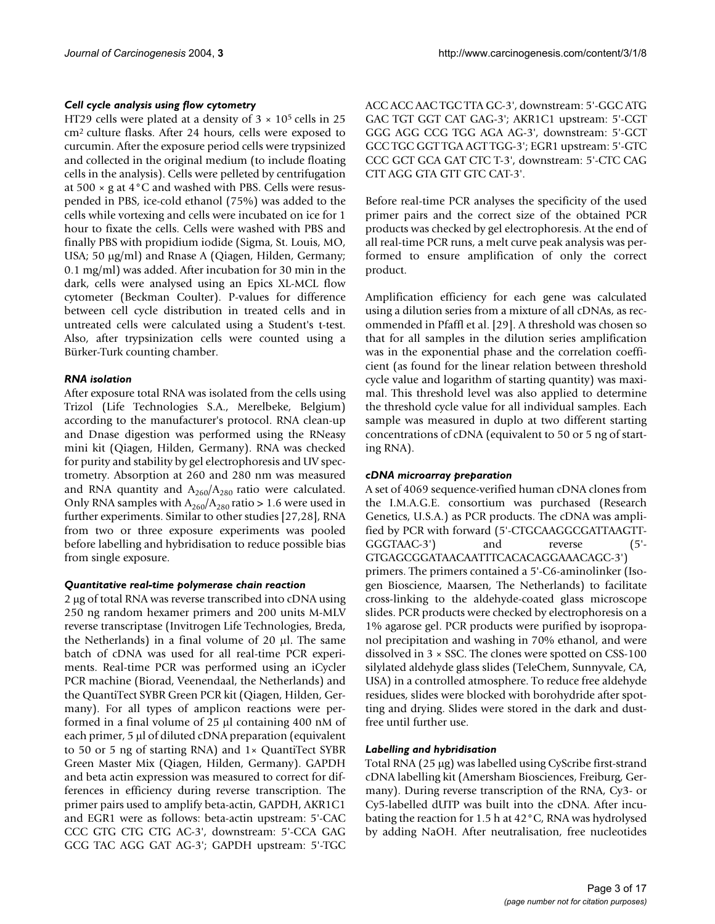### *Cell cycle analysis using flow cytometry*

HT29 cells were plated at a density of  $3 \times 10^5$  cells in 25 cm2 culture flasks. After 24 hours, cells were exposed to curcumin. After the exposure period cells were trypsinized and collected in the original medium (to include floating cells in the analysis). Cells were pelleted by centrifugation at 500 × g at 4°C and washed with PBS. Cells were resuspended in PBS, ice-cold ethanol (75%) was added to the cells while vortexing and cells were incubated on ice for 1 hour to fixate the cells. Cells were washed with PBS and finally PBS with propidium iodide (Sigma, St. Louis, MO, USA; 50 µg/ml) and Rnase A (Qiagen, Hilden, Germany; 0.1 mg/ml) was added. After incubation for 30 min in the dark, cells were analysed using an Epics XL-MCL flow cytometer (Beckman Coulter). P-values for difference between cell cycle distribution in treated cells and in untreated cells were calculated using a Student's t-test. Also, after trypsinization cells were counted using a Bürker-Turk counting chamber.

### *RNA isolation*

After exposure total RNA was isolated from the cells using Trizol (Life Technologies S.A., Merelbeke, Belgium) according to the manufacturer's protocol. RNA clean-up and Dnase digestion was performed using the RNeasy mini kit (Qiagen, Hilden, Germany). RNA was checked for purity and stability by gel electrophoresis and UV spectrometry. Absorption at 260 and 280 nm was measured and RNA quantity and  $A_{260}/A_{280}$  ratio were calculated. Only RNA samples with  $A_{260}/A_{280}$  ratio > 1.6 were used in further experiments. Similar to other studies [27,28], RNA from two or three exposure experiments was pooled before labelling and hybridisation to reduce possible bias from single exposure.

### *Quantitative real-time polymerase chain reaction*

2 µg of total RNA was reverse transcribed into cDNA using 250 ng random hexamer primers and 200 units M-MLV reverse transcriptase (Invitrogen Life Technologies, Breda, the Netherlands) in a final volume of 20 µl. The same batch of cDNA was used for all real-time PCR experiments. Real-time PCR was performed using an iCycler PCR machine (Biorad, Veenendaal, the Netherlands) and the QuantiTect SYBR Green PCR kit (Qiagen, Hilden, Germany). For all types of amplicon reactions were performed in a final volume of 25 µl containing 400 nM of each primer, 5 µl of diluted cDNA preparation (equivalent to 50 or 5 ng of starting RNA) and 1× QuantiTect SYBR Green Master Mix (Qiagen, Hilden, Germany). GAPDH and beta actin expression was measured to correct for differences in efficiency during reverse transcription. The primer pairs used to amplify beta-actin, GAPDH, AKR1C1 and EGR1 were as follows: beta-actin upstream: 5'-CAC CCC GTG CTG CTG AC-3', downstream: 5'-CCA GAG GCG TAC AGG GAT AG-3'; GAPDH upstream: 5'-TGC ACC ACC AAC TGC TTA GC-3', downstream: 5'-GGC ATG GAC TGT GGT CAT GAG-3'; AKR1C1 upstream: 5'-CGT GGG AGG CCG TGG AGA AG-3', downstream: 5'-GCT GCC TGC GGT TGA AGT TGG-3'; EGR1 upstream: 5'-GTC CCC GCT GCA GAT CTC T-3', downstream: 5'-CTC CAG CTT AGG GTA GTT GTC CAT-3'.

Before real-time PCR analyses the specificity of the used primer pairs and the correct size of the obtained PCR products was checked by gel electrophoresis. At the end of all real-time PCR runs, a melt curve peak analysis was performed to ensure amplification of only the correct product.

Amplification efficiency for each gene was calculated using a dilution series from a mixture of all cDNAs, as recommended in Pfaffl et al. [29]. A threshold was chosen so that for all samples in the dilution series amplification was in the exponential phase and the correlation coefficient (as found for the linear relation between threshold cycle value and logarithm of starting quantity) was maximal. This threshold level was also applied to determine the threshold cycle value for all individual samples. Each sample was measured in duplo at two different starting concentrations of cDNA (equivalent to 50 or 5 ng of starting RNA).

# *cDNA microarray preparation*

A set of 4069 sequence-verified human cDNA clones from the I.M.A.G.E. consortium was purchased (Research Genetics, U.S.A.) as PCR products. The cDNA was amplified by PCR with forward (5'-CTGCAAGGCGATTAAGTT-GGGTAAC-3') and reverse (5'-GTGAGCGGATAACAATTTCACACAGGAAACAGC-3') primers. The primers contained a 5'-C6-aminolinker (Isogen Bioscience, Maarsen, The Netherlands) to facilitate cross-linking to the aldehyde-coated glass microscope slides. PCR products were checked by electrophoresis on a 1% agarose gel. PCR products were purified by isopropanol precipitation and washing in 70% ethanol, and were dissolved in 3 × SSC. The clones were spotted on CSS-100 silylated aldehyde glass slides (TeleChem, Sunnyvale, CA, USA) in a controlled atmosphere. To reduce free aldehyde residues, slides were blocked with borohydride after spotting and drying. Slides were stored in the dark and dustfree until further use.

# *Labelling and hybridisation*

Total RNA (25 µg) was labelled using CyScribe first-strand cDNA labelling kit (Amersham Biosciences, Freiburg, Germany). During reverse transcription of the RNA, Cy3- or Cy5-labelled dUTP was built into the cDNA. After incubating the reaction for 1.5 h at 42°C, RNA was hydrolysed by adding NaOH. After neutralisation, free nucleotides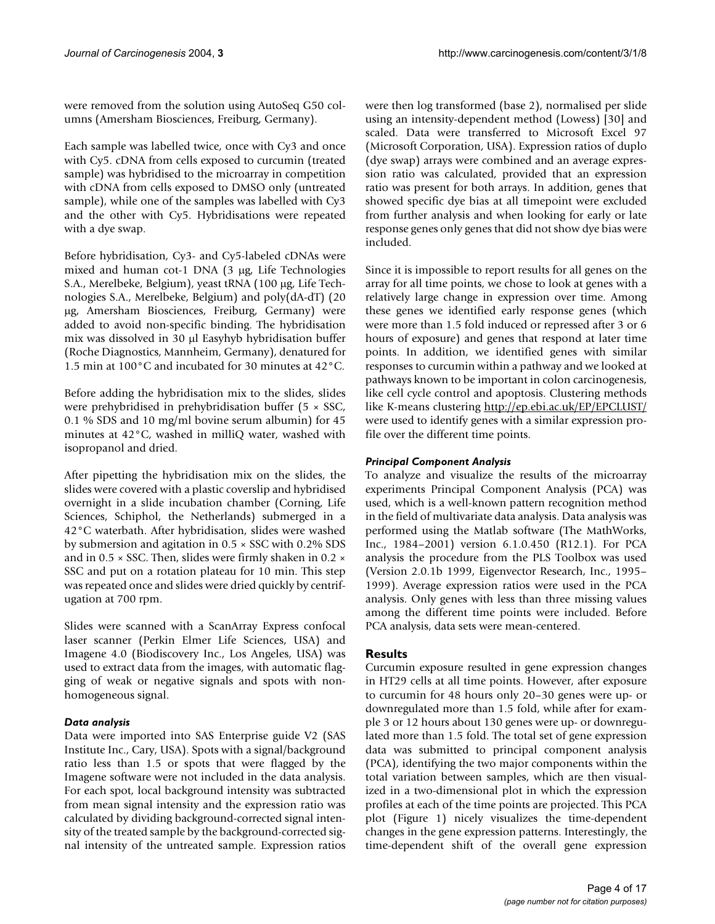were removed from the solution using AutoSeq G50 columns (Amersham Biosciences, Freiburg, Germany).

Each sample was labelled twice, once with Cy3 and once with Cy5. cDNA from cells exposed to curcumin (treated sample) was hybridised to the microarray in competition with cDNA from cells exposed to DMSO only (untreated sample), while one of the samples was labelled with Cy3 and the other with Cy5. Hybridisations were repeated with a dye swap.

Before hybridisation, Cy3- and Cy5-labeled cDNAs were mixed and human cot-1 DNA (3 µg, Life Technologies S.A., Merelbeke, Belgium), yeast tRNA (100 µg, Life Technologies S.A., Merelbeke, Belgium) and poly(dA-dT) (20 µg, Amersham Biosciences, Freiburg, Germany) were added to avoid non-specific binding. The hybridisation mix was dissolved in 30 µl Easyhyb hybridisation buffer (Roche Diagnostics, Mannheim, Germany), denatured for 1.5 min at 100°C and incubated for 30 minutes at 42°C.

Before adding the hybridisation mix to the slides, slides were prehybridised in prehybridisation buffer (5 × SSC, 0.1 % SDS and 10 mg/ml bovine serum albumin) for 45 minutes at 42°C, washed in milliQ water, washed with isopropanol and dried.

After pipetting the hybridisation mix on the slides, the slides were covered with a plastic coverslip and hybridised overnight in a slide incubation chamber (Corning, Life Sciences, Schiphol, the Netherlands) submerged in a 42°C waterbath. After hybridisation, slides were washed by submersion and agitation in 0.5 × SSC with 0.2% SDS and in 0.5  $\times$  SSC. Then, slides were firmly shaken in 0.2  $\times$ SSC and put on a rotation plateau for 10 min. This step was repeated once and slides were dried quickly by centrifugation at 700 rpm.

Slides were scanned with a ScanArray Express confocal laser scanner (Perkin Elmer Life Sciences, USA) and Imagene 4.0 (Biodiscovery Inc., Los Angeles, USA) was used to extract data from the images, with automatic flagging of weak or negative signals and spots with nonhomogeneous signal.

# *Data analysis*

Data were imported into SAS Enterprise guide V2 (SAS Institute Inc., Cary, USA). Spots with a signal/background ratio less than 1.5 or spots that were flagged by the Imagene software were not included in the data analysis. For each spot, local background intensity was subtracted from mean signal intensity and the expression ratio was calculated by dividing background-corrected signal intensity of the treated sample by the background-corrected signal intensity of the untreated sample. Expression ratios were then log transformed (base 2), normalised per slide using an intensity-dependent method (Lowess) [30] and scaled. Data were transferred to Microsoft Excel 97 (Microsoft Corporation, USA). Expression ratios of duplo (dye swap) arrays were combined and an average expression ratio was calculated, provided that an expression ratio was present for both arrays. In addition, genes that showed specific dye bias at all timepoint were excluded from further analysis and when looking for early or late response genes only genes that did not show dye bias were included.

Since it is impossible to report results for all genes on the array for all time points, we chose to look at genes with a relatively large change in expression over time. Among these genes we identified early response genes (which were more than 1.5 fold induced or repressed after 3 or 6 hours of exposure) and genes that respond at later time points. In addition, we identified genes with similar responses to curcumin within a pathway and we looked at pathways known to be important in colon carcinogenesis, like cell cycle control and apoptosis. Clustering methods like K-means clustering <http://ep.ebi.ac.uk/EP/EPCLUST/> were used to identify genes with a similar expression profile over the different time points.

# *Principal Component Analysis*

To analyze and visualize the results of the microarray experiments Principal Component Analysis (PCA) was used, which is a well-known pattern recognition method in the field of multivariate data analysis. Data analysis was performed using the Matlab software (The MathWorks, Inc., 1984–2001) version 6.1.0.450 (R12.1). For PCA analysis the procedure from the PLS Toolbox was used (Version 2.0.1b 1999, Eigenvector Research, Inc., 1995– 1999). Average expression ratios were used in the PCA analysis. Only genes with less than three missing values among the different time points were included. Before PCA analysis, data sets were mean-centered.

# **Results**

Curcumin exposure resulted in gene expression changes in HT29 cells at all time points. However, after exposure to curcumin for 48 hours only 20–30 genes were up- or downregulated more than 1.5 fold, while after for example 3 or 12 hours about 130 genes were up- or downregulated more than 1.5 fold. The total set of gene expression data was submitted to principal component analysis (PCA), identifying the two major components within the total variation between samples, which are then visualized in a two-dimensional plot in which the expression profiles at each of the time points are projected. This PCA plot (Figure 1) nicely visualizes the time-dependent changes in the gene expression patterns. Interestingly, the time-dependent shift of the overall gene expression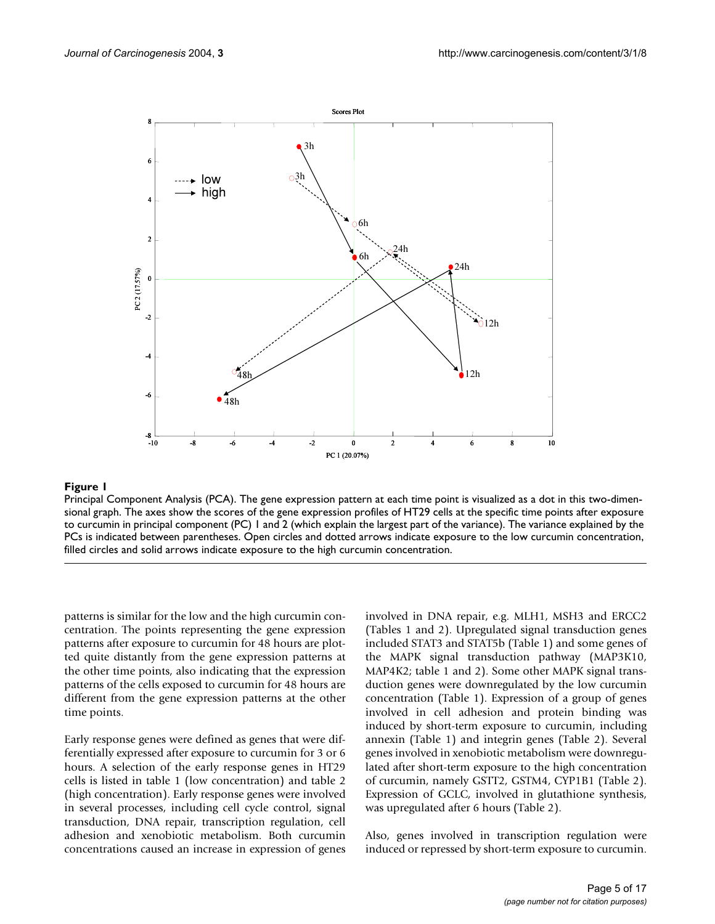

Principal Component Analysis (PCA). The gene expression pattern at each time point is visualized as a dot in this two-dimensional graph. The axes show the scores of the gene expression profiles of HT29 cells at the specific time points after exposure to curcumin in principal component (PC) 1 and 2 (which explain the largest part of the variance). The variance explained by the PCs is indicated between parentheses. Open circles and dotted arrows indicate exposure to the low curcumin concentration, filled circles and solid arrows indicate exposure to the high curcumin concentration.

patterns is similar for the low and the high curcumin concentration. The points representing the gene expression patterns after exposure to curcumin for 48 hours are plotted quite distantly from the gene expression patterns at the other time points, also indicating that the expression patterns of the cells exposed to curcumin for 48 hours are different from the gene expression patterns at the other time points.

Early response genes were defined as genes that were differentially expressed after exposure to curcumin for 3 or 6 hours. A selection of the early response genes in HT29 cells is listed in table [1](#page-5-0) (low concentration) and table [2](#page-6-0) (high concentration). Early response genes were involved in several processes, including cell cycle control, signal transduction, DNA repair, transcription regulation, cell adhesion and xenobiotic metabolism. Both curcumin concentrations caused an increase in expression of genes involved in DNA repair, e.g. MLH1, MSH3 and ERCC2 (Tables [1](#page-5-0) and [2\)](#page-6-0). Upregulated signal transduction genes included STAT3 and STAT5b (Table [1\)](#page-5-0) and some genes of the MAPK signal transduction pathway (MAP3K10, MAP4K2; table [1](#page-5-0) and [2](#page-6-0)). Some other MAPK signal transduction genes were downregulated by the low curcumin concentration (Table [1\)](#page-5-0). Expression of a group of genes involved in cell adhesion and protein binding was induced by short-term exposure to curcumin, including annexin (Table [1\)](#page-5-0) and integrin genes (Table [2](#page-6-0)). Several genes involved in xenobiotic metabolism were downregulated after short-term exposure to the high concentration of curcumin, namely GSTT2, GSTM4, CYP1B1 (Table [2\)](#page-6-0). Expression of GCLC, involved in glutathione synthesis, was upregulated after 6 hours (Table [2\)](#page-6-0).

Also, genes involved in transcription regulation were induced or repressed by short-term exposure to curcumin.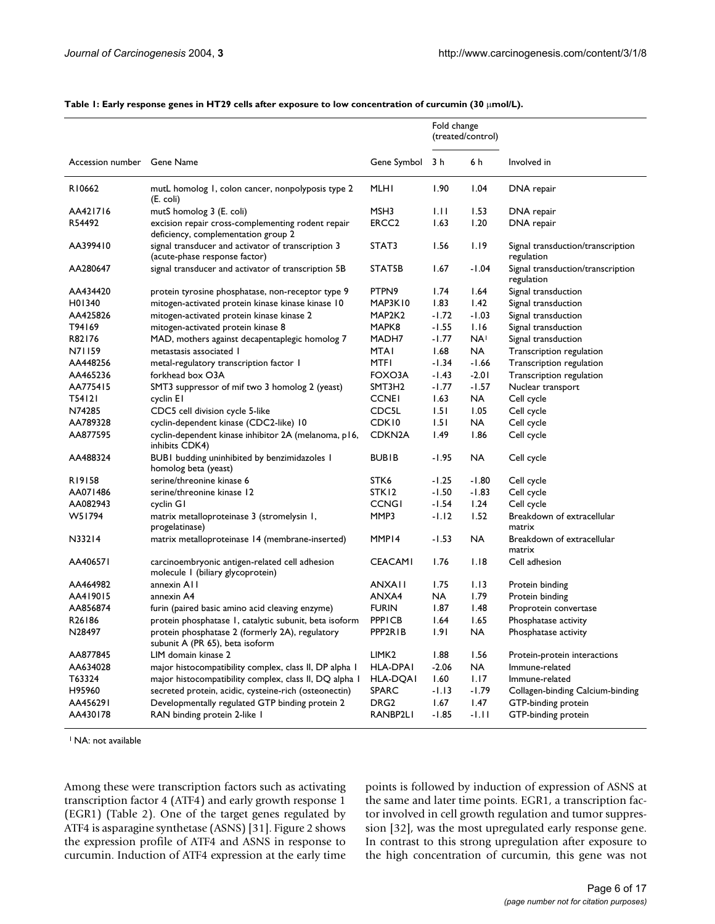|                            |                                                                                          |                     | Fold change<br>(treated/control) |                 |                                                 |  |  |
|----------------------------|------------------------------------------------------------------------------------------|---------------------|----------------------------------|-----------------|-------------------------------------------------|--|--|
| Accession number Gene Name |                                                                                          | Gene Symbol         | 3 h                              | 6 h             | Involved in                                     |  |  |
| R10662                     | mutL homolog 1, colon cancer, nonpolyposis type 2<br>(E. coli)                           | <b>MLHI</b>         | 1.90                             | 1.04            | DNA repair                                      |  |  |
| AA421716                   | mutS homolog 3 (E. coli)                                                                 | MSH3                | 1.11                             | 1.53            | DNA repair                                      |  |  |
| R54492                     | excision repair cross-complementing rodent repair<br>deficiency, complementation group 2 | ERCC2               | 1.63                             | 1.20            | DNA repair                                      |  |  |
| AA399410                   | signal transducer and activator of transcription 3<br>(acute-phase response factor)      | STAT3               | 1.56                             | 1.19            | Signal transduction/transcription<br>regulation |  |  |
| AA280647                   | signal transducer and activator of transcription 5B                                      | STAT5B              | 1.67                             | -1.04           | Signal transduction/transcription<br>regulation |  |  |
| AA434420                   | protein tyrosine phosphatase, non-receptor type 9                                        | PTPN9               | 1.74                             | 1.64            | Signal transduction                             |  |  |
| H <sub>0</sub> 1340        | mitogen-activated protein kinase kinase kinase 10                                        | MAP3K10             | 1.83                             | 1.42            | Signal transduction                             |  |  |
| AA425826                   | mitogen-activated protein kinase kinase 2                                                | MAP2K2              | -1.72                            | $-1.03$         | Signal transduction                             |  |  |
| T94169                     | mitogen-activated protein kinase 8                                                       | MAPK8               | -1.55                            | 1.16            | Signal transduction                             |  |  |
| R82176                     | MAD, mothers against decapentaplegic homolog 7                                           | MADH7               | -1.77                            | NA <sup>1</sup> | Signal transduction                             |  |  |
| N71159                     | metastasis associated 1                                                                  | MTAI                | 1.68                             | NA              | Transcription regulation                        |  |  |
| AA448256                   | metal-regulatory transcription factor 1                                                  | MTFI                | -1.34                            | -1.66           | Transcription regulation                        |  |  |
| AA465236                   | forkhead box O3A                                                                         | FOXO3A              | -1.43                            | $-2.01$         | Transcription regulation                        |  |  |
| AA775415                   | SMT3 suppressor of mif two 3 homolog 2 (yeast)                                           | SMT3H2              | -1.77                            | $-1.57$         | Nuclear transport                               |  |  |
| T54121                     | cyclin El                                                                                | <b>CCNEI</b>        | 1.63                             | NA              | Cell cycle                                      |  |  |
| N74285                     | CDC5 cell division cycle 5-like                                                          | CDC <sub>5</sub> L  | 1.51                             | 1.05            | Cell cycle                                      |  |  |
| AA789328                   | cyclin-dependent kinase (CDC2-like) 10                                                   | CDK10               | 1.51                             | NA              | Cell cycle                                      |  |  |
| AA877595                   | cyclin-dependent kinase inhibitor 2A (melanoma, p16,<br>inhibits CDK4)                   | CDKN <sub>2</sub> A | I.49                             | 1.86            | Cell cycle                                      |  |  |
| AA488324                   | BUBI budding uninhibited by benzimidazoles I<br>homolog beta (yeast)                     | <b>BUBIB</b>        | -1.95                            | NA              | Cell cycle                                      |  |  |
| R19158                     | serine/threonine kinase 6                                                                | STK6                | -1.25                            | $-1.80$         | Cell cycle                                      |  |  |
| AA071486                   | serine/threonine kinase 12                                                               | STK12               | $-1.50$                          | $-1.83$         | Cell cycle                                      |  |  |
| AA082943                   | cyclin G1                                                                                | <b>CCNGI</b>        | $-1.54$                          | 1.24            | Cell cycle                                      |  |  |
| W51794                     | matrix metalloproteinase 3 (stromelysin 1,<br>progelatinase)                             | MMP3                | -1.12                            | 1.52            | Breakdown of extracellular<br>matrix            |  |  |
| N33214                     | matrix metalloproteinase 14 (membrane-inserted)                                          | MMP <sub>14</sub>   | -1.53                            | <b>NA</b>       | Breakdown of extracellular<br>matrix            |  |  |
| AA406571                   | carcinoembryonic antigen-related cell adhesion<br>molecule I (biliary glycoprotein)      | <b>CEACAMI</b>      | 1.76                             | 1.18            | Cell adhesion                                   |  |  |
| AA464982                   | annexin A11                                                                              | <b>ANXAII</b>       | 1.75                             | 1.13            | Protein binding                                 |  |  |
| AA419015                   | annexin A4                                                                               | ANXA4               | NA                               | 1.79            | Protein binding                                 |  |  |
| AA856874                   | furin (paired basic amino acid cleaving enzyme)                                          | <b>FURIN</b>        | 1.87                             | 1.48            | Proprotein convertase                           |  |  |
| R <sub>26</sub> 186        | protein phosphatase 1, catalytic subunit, beta isoform                                   | <b>PPPICB</b>       | 1.64                             | 1.65            | Phosphatase activity                            |  |  |
| N28497                     | protein phosphatase 2 (formerly 2A), regulatory<br>subunit A (PR 65), beta isoform       | PPP2R1B             | 1.91                             | <b>NA</b>       | Phosphatase activity                            |  |  |
| AA877845                   | LIM domain kinase 2                                                                      | LIMK <sub>2</sub>   | 1.88                             | 1.56            | Protein-protein interactions                    |  |  |
| AA634028                   | major histocompatibility complex, class II, DP alpha I                                   | HLA-DPAI            | $-2.06$                          | <b>NA</b>       | Immune-related                                  |  |  |
| T63324                     | major histocompatibility complex, class II, DQ alpha I                                   | <b>HLA-DQAI</b>     | 1.60                             | 1.17            | Immune-related                                  |  |  |
| H95960                     | secreted protein, acidic, cysteine-rich (osteonectin)                                    | <b>SPARC</b>        | -1.13                            | $-1.79$         | Collagen-binding Calcium-binding                |  |  |
| AA456291                   | Developmentally regulated GTP binding protein 2                                          | DRG <sub>2</sub>    | 1.67                             | 1.47            | GTP-binding protein                             |  |  |
| AA430178                   | RAN binding protein 2-like 1                                                             | RANBP2LI            | $-1.85$                          | $-1.11$         | GTP-binding protein                             |  |  |

<span id="page-5-0"></span>Table 1: Early response genes in HT29 cells after exposure to low concentration of curcumin (30 µmol/L).

<sup>1</sup> NA: not available

Among these were transcription factors such as activating transcription factor 4 (ATF4) and early growth response 1 (EGR1) (Table [2\)](#page-6-0). One of the target genes regulated by ATF4 is asparagine synthetase (ASNS) [31]. Figure 2 shows the expression profile of ATF4 and ASNS in response to curcumin. Induction of ATF4 expression at the early time points is followed by induction of expression of ASNS at the same and later time points. EGR1, a transcription factor involved in cell growth regulation and tumor suppression [32], was the most upregulated early response gene. In contrast to this strong upregulation after exposure to the high concentration of curcumin, this gene was not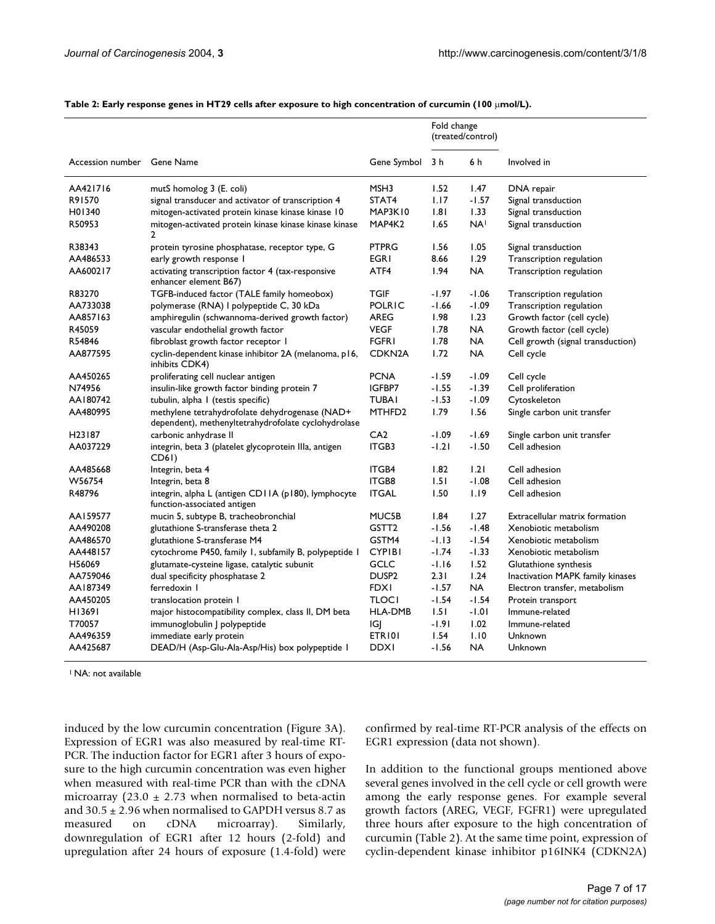|                     |                                                                                                       |                     | Fold change<br>(treated/control) |                 |                                   |  |  |
|---------------------|-------------------------------------------------------------------------------------------------------|---------------------|----------------------------------|-----------------|-----------------------------------|--|--|
| Accession number    | Gene Name                                                                                             | Gene Symbol         | 3 h                              | 6 h             | Involved in                       |  |  |
| AA421716            | mutS homolog 3 (E. coli)                                                                              | MSH3                | 1.52                             | 1.47            | DNA repair                        |  |  |
| R91570              | signal transducer and activator of transcription 4                                                    | STAT4               | 1.17                             | $-1.57$         | Signal transduction               |  |  |
| H01340              | mitogen-activated protein kinase kinase kinase 10                                                     | MAP3K10             | .8                               | 1.33            | Signal transduction               |  |  |
| R50953              | mitogen-activated protein kinase kinase kinase kinase<br>$\overline{2}$                               | MAP4K2              | 1.65                             | NA <sup>I</sup> | Signal transduction               |  |  |
| R38343              | protein tyrosine phosphatase, receptor type, G                                                        | <b>PTPRG</b>        | 1.56                             | 1.05            | Signal transduction               |  |  |
| AA486533            | early growth response I                                                                               | <b>EGRI</b>         | 8.66                             | 1.29            | Transcription regulation          |  |  |
| AA600217            | activating transcription factor 4 (tax-responsive<br>enhancer element B67)                            | ATF4                | 1.94                             | <b>NA</b>       | Transcription regulation          |  |  |
| R83270              | TGFB-induced factor (TALE family homeobox)                                                            | <b>TGIF</b>         | $-1.97$                          | $-1.06$         | Transcription regulation          |  |  |
| AA733038            | polymerase (RNA) I polypeptide C, 30 kDa                                                              | <b>POLRIC</b>       | $-1.66$                          | $-1.09$         | Transcription regulation          |  |  |
| AA857163            | amphiregulin (schwannoma-derived growth factor)                                                       | <b>AREG</b>         | 1.98                             | 1.23            | Growth factor (cell cycle)        |  |  |
| R45059              | vascular endothelial growth factor                                                                    | <b>VEGF</b>         | 1.78                             | <b>NA</b>       | Growth factor (cell cycle)        |  |  |
| R54846              | fibroblast growth factor receptor I                                                                   | <b>FGFRI</b>        | 1.78                             | <b>NA</b>       | Cell growth (signal transduction) |  |  |
| AA877595            | cyclin-dependent kinase inhibitor 2A (melanoma, p16,<br>inhibits CDK4)                                | CDKN <sub>2</sub> A | 1.72                             | <b>NA</b>       | Cell cycle                        |  |  |
| AA450265            | proliferating cell nuclear antigen                                                                    | <b>PCNA</b>         | $-1.59$                          | $-1.09$         | Cell cycle                        |  |  |
| N74956              | insulin-like growth factor binding protein 7                                                          | IGFBP7              | $-1.55$                          | $-1.39$         | Cell proliferation                |  |  |
| AA180742            | tubulin, alpha I (testis specific)                                                                    | <b>TUBAI</b>        | $-1.53$                          | $-1.09$         | Cytoskeleton                      |  |  |
| AA480995            | methylene tetrahydrofolate dehydrogenase (NAD+<br>dependent), methenyltetrahydrofolate cyclohydrolase | MTHFD <sub>2</sub>  | 1.79                             | 1.56            | Single carbon unit transfer       |  |  |
| H <sub>23</sub> 187 | carbonic anhydrase II                                                                                 | CA2                 | $-1.09$                          | $-1.69$         | Single carbon unit transfer       |  |  |
| AA037229            | integrin, beta 3 (platelet glycoprotein IIIa, antigen<br>CD6I)                                        | ITGB3               | $-1.21$                          | $-1.50$         | Cell adhesion                     |  |  |
| AA485668            | Integrin, beta 4                                                                                      | <b>ITGB4</b>        | 1.82                             | 1.21            | Cell adhesion                     |  |  |
| W56754              | Integrin, beta 8                                                                                      | <b>ITGB8</b>        | 1.51                             | $-1.08$         | Cell adhesion                     |  |  |
| R48796              | integrin, alpha L (antigen CD11A (p180), lymphocyte<br>function-associated antigen                    | <b>ITGAL</b>        | 1.50                             | 1.19            | Cell adhesion                     |  |  |
| AA159577            | mucin 5, subtype B, tracheobronchial                                                                  | MUC5B               | 1.84                             | 1.27            | Extracellular matrix formation    |  |  |
| AA490208            | glutathione S-transferase theta 2                                                                     | GSTT <sub>2</sub>   | $-1.56$                          | $-1.48$         | Xenobiotic metabolism             |  |  |
| AA486570            | glutathione S-transferase M4                                                                          | GSTM4               | $-1.13$                          | $-1.54$         | Xenobiotic metabolism             |  |  |
| AA448157            | cytochrome P450, family 1, subfamily B, polypeptide 1                                                 | <b>CYPIBI</b>       | $-1.74$                          | $-1.33$         | Xenobiotic metabolism             |  |  |
| H56069              | glutamate-cysteine ligase, catalytic subunit                                                          | <b>GCLC</b>         | $-1.16$                          | 1.52            | Glutathione synthesis             |  |  |
| AA759046            | dual specificity phosphatase 2                                                                        | DUSP <sub>2</sub>   | 2.31                             | 1.24            | Inactivation MAPK family kinases  |  |  |
| AA187349            | ferredoxin I                                                                                          | <b>FDXI</b>         | $-1.57$                          | <b>NA</b>       | Electron transfer, metabolism     |  |  |
| AA450205            | translocation protein I                                                                               | <b>TLOCI</b>        | $-1.54$                          | $-1.54$         | Protein transport                 |  |  |
| H13691              | major histocompatibility complex, class II, DM beta                                                   | <b>HLA-DMB</b>      | 1.51                             | $-1.01$         | Immune-related                    |  |  |
| T70057              | immunoglobulin   polypeptide                                                                          | IGJ                 | $-1.91$                          | 1.02            | Immune-related                    |  |  |
| AA496359            | immediate early protein                                                                               | ETRI01              | 1.54                             | 1.10            | Unknown                           |  |  |
| AA425687            | DEAD/H (Asp-Glu-Ala-Asp/His) box polypeptide I                                                        | <b>DDXI</b>         | $-1.56$                          | <b>NA</b>       | Unknown                           |  |  |

<span id="page-6-0"></span>Table 2: Early response genes in HT29 cells after exposure to high concentration of curcumin (100 µmol/L).

<sup>1</sup> NA: not available

induced by the low curcumin concentration (Figure 3A). Expression of EGR1 was also measured by real-time RT-PCR. The induction factor for EGR1 after 3 hours of exposure to the high curcumin concentration was even higher when measured with real-time PCR than with the cDNA microarray (23.0  $\pm$  2.73 when normalised to beta-actin and  $30.5 \pm 2.96$  when normalised to GAPDH versus 8.7 as measured on cDNA microarray). Similarly, downregulation of EGR1 after 12 hours (2-fold) and upregulation after 24 hours of exposure (1.4-fold) were confirmed by real-time RT-PCR analysis of the effects on EGR1 expression (data not shown).

In addition to the functional groups mentioned above several genes involved in the cell cycle or cell growth were among the early response genes. For example several growth factors (AREG, VEGF, FGFR1) were upregulated three hours after exposure to the high concentration of curcumin (Table [2](#page-6-0)). At the same time point, expression of cyclin-dependent kinase inhibitor p16INK4 (CDKN2A)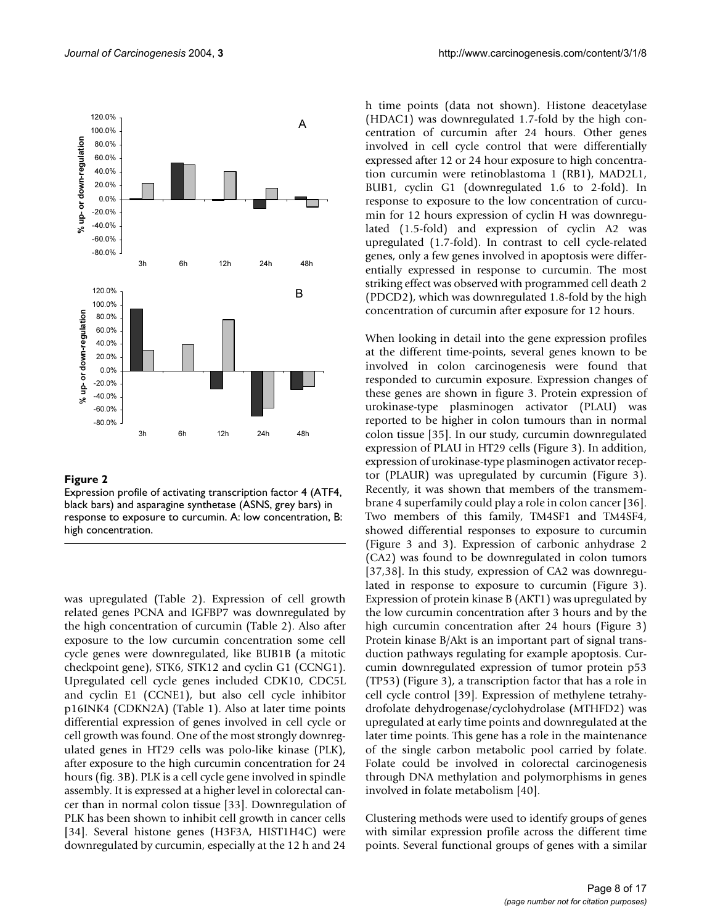

Expression profile of activating transcription factor 4 (ATF4, black bars) and asparagine synthetase (ASNS, grey bars) in response to exposure to curcumin. A: low concentration, B: high concentration.

was upregulated (Table [2\)](#page-6-0). Expression of cell growth related genes PCNA and IGFBP7 was downregulated by the high concentration of curcumin (Table [2](#page-6-0)). Also after exposure to the low curcumin concentration some cell cycle genes were downregulated, like BUB1B (a mitotic checkpoint gene), STK6, STK12 and cyclin G1 (CCNG1). Upregulated cell cycle genes included CDK10, CDC5L and cyclin E1 (CCNE1), but also cell cycle inhibitor p16INK4 (CDKN2A) (Table [1](#page-5-0)). Also at later time points differential expression of genes involved in cell cycle or cell growth was found. One of the most strongly downregulated genes in HT29 cells was polo-like kinase (PLK), after exposure to the high curcumin concentration for 24 hours (fig. 3B). PLK is a cell cycle gene involved in spindle assembly. It is expressed at a higher level in colorectal cancer than in normal colon tissue [33]. Downregulation of PLK has been shown to inhibit cell growth in cancer cells [34]. Several histone genes (H3F3A, HIST1H4C) were downregulated by curcumin, especially at the 12 h and 24

h time points (data not shown). Histone deacetylase (HDAC1) was downregulated 1.7-fold by the high concentration of curcumin after 24 hours. Other genes involved in cell cycle control that were differentially expressed after 12 or 24 hour exposure to high concentration curcumin were retinoblastoma 1 (RB1), MAD2L1, BUB1, cyclin G1 (downregulated 1.6 to 2-fold). In response to exposure to the low concentration of curcumin for 12 hours expression of cyclin H was downregulated (1.5-fold) and expression of cyclin A2 was upregulated (1.7-fold). In contrast to cell cycle-related genes, only a few genes involved in apoptosis were differentially expressed in response to curcumin. The most striking effect was observed with programmed cell death 2 (PDCD2), which was downregulated 1.8-fold by the high concentration of curcumin after exposure for 12 hours.

When looking in detail into the gene expression profiles at the different time-points, several genes known to be involved in colon carcinogenesis were found that responded to curcumin exposure. Expression changes of these genes are shown in figure 3. Protein expression of urokinase-type plasminogen activator (PLAU) was reported to be higher in colon tumours than in normal colon tissue [35]. In our study, curcumin downregulated expression of PLAU in HT29 cells (Figure 3). In addition, expression of urokinase-type plasminogen activator receptor (PLAUR) was upregulated by curcumin (Figure 3). Recently, it was shown that members of the transmembrane 4 superfamily could play a role in colon cancer [36]. Two members of this family, TM4SF1 and TM4SF4, showed differential responses to exposure to curcumin (Figure 3 and 3). Expression of carbonic anhydrase 2 (CA2) was found to be downregulated in colon tumors [37,38]. In this study, expression of CA2 was downregulated in response to exposure to curcumin (Figure 3). Expression of protein kinase B (AKT1) was upregulated by the low curcumin concentration after 3 hours and by the high curcumin concentration after 24 hours (Figure 3) Protein kinase B/Akt is an important part of signal transduction pathways regulating for example apoptosis. Curcumin downregulated expression of tumor protein p53 (TP53) (Figure 3), a transcription factor that has a role in cell cycle control [39]. Expression of methylene tetrahydrofolate dehydrogenase/cyclohydrolase (MTHFD2) was upregulated at early time points and downregulated at the later time points. This gene has a role in the maintenance of the single carbon metabolic pool carried by folate. Folate could be involved in colorectal carcinogenesis through DNA methylation and polymorphisms in genes involved in folate metabolism [40].

Clustering methods were used to identify groups of genes with similar expression profile across the different time points. Several functional groups of genes with a similar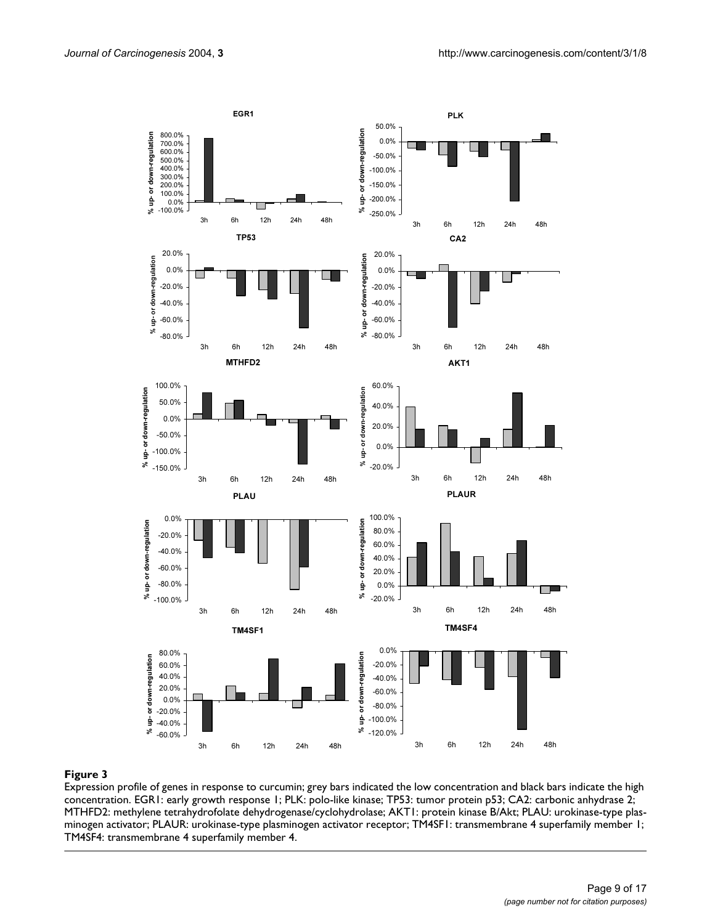

Expression profile of genes in response to curcumin; grey bars indicated the low concentration and black bars indicate the high concentration. EGR1: early growth response 1; PLK: polo-like kinase; TP53: tumor protein p53; CA2: carbonic anhydrase 2; MTHFD2: methylene tetrahydrofolate dehydrogenase/cyclohydrolase; AKT1: protein kinase B/Akt; PLAU: urokinase-type plasminogen activator; PLAUR: urokinase-type plasminogen activator receptor; TM4SF1: transmembrane 4 superfamily member 1; TM4SF4: transmembrane 4 superfamily member 4.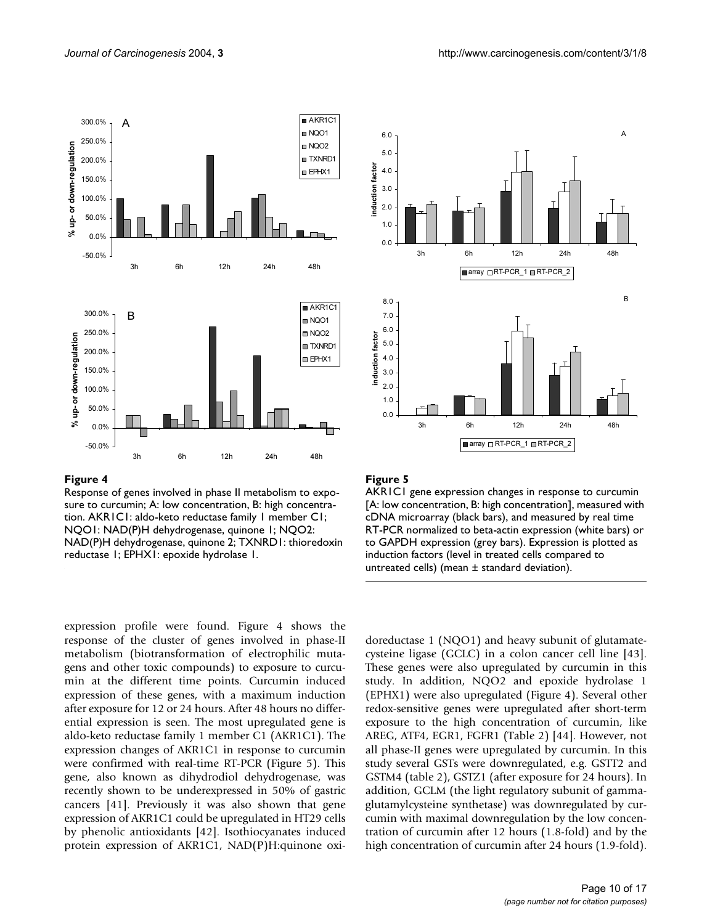

Response of genes involved in phase II metabolism to exposure to curcumin; A: low concentration, B: high concentration. AKR1C1: aldo-keto reductase family 1 member C1; NQO1: NAD(P)H dehydrogenase, quinone 1; NQO2: NAD(P)H dehydrogenase, quinone 2; TXNRD1: thioredoxin reductase 1; EPHX1: epoxide hydrolase 1.

expression profile were found. Figure 4 shows the response of the cluster of genes involved in phase-II metabolism (biotransformation of electrophilic mutagens and other toxic compounds) to exposure to curcumin at the different time points. Curcumin induced expression of these genes, with a maximum induction after exposure for 12 or 24 hours. After 48 hours no differential expression is seen. The most upregulated gene is aldo-keto reductase family 1 member C1 (AKR1C1). The expression changes of AKR1C1 in response to curcumin were confirmed with real-time RT-PCR (Figure 5). This gene, also known as dihydrodiol dehydrogenase, was recently shown to be underexpressed in 50% of gastric cancers [41]. Previously it was also shown that gene expression of AKR1C1 could be upregulated in HT29 cells by phenolic antioxidants [42]. Isothiocyanates induced protein expression of AKR1C1, NAD(P)H:quinone oxi-



# Figure 5

AKR1C1 gene expression changes in response to curcumin [A: low concentration, B: high concentration], measured with cDNA microarray (black bars), and measured by real time RT-PCR normalized to beta-actin expression (white bars) or to GAPDH expression (grey bars). Expression is plotted as induction factors (level in treated cells compared to untreated cells) (mean ± standard deviation).

doreductase 1 (NQO1) and heavy subunit of glutamatecysteine ligase (GCLC) in a colon cancer cell line [43]. These genes were also upregulated by curcumin in this study. In addition, NQO2 and epoxide hydrolase 1 (EPHX1) were also upregulated (Figure 4). Several other redox-sensitive genes were upregulated after short-term exposure to the high concentration of curcumin, like AREG, ATF4, EGR1, FGFR1 (Table [2](#page-6-0)) [44]. However, not all phase-II genes were upregulated by curcumin. In this study several GSTs were downregulated, e.g. GSTT2 and GSTM4 (table [2](#page-6-0)), GSTZ1 (after exposure for 24 hours). In addition, GCLM (the light regulatory subunit of gammaglutamylcysteine synthetase) was downregulated by curcumin with maximal downregulation by the low concentration of curcumin after 12 hours (1.8-fold) and by the high concentration of curcumin after 24 hours (1.9-fold).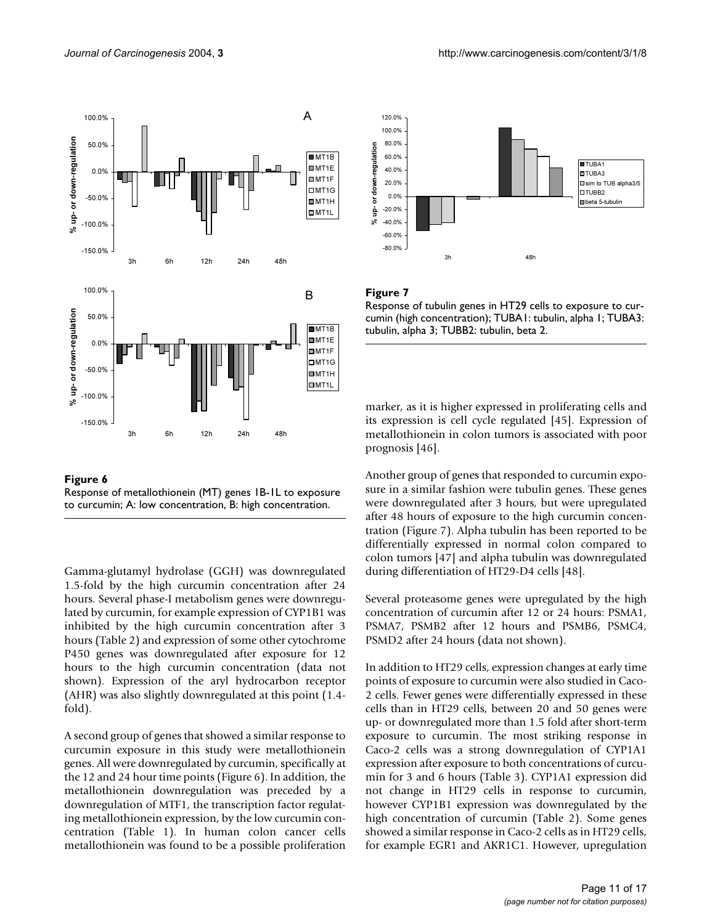



Gamma-glutamyl hydrolase (GGH) was downregulated 1.5-fold by the high curcumin concentration after 24 hours. Several phase-I metabolism genes were downregulated by curcumin, for example expression of CYP1B1 was inhibited by the high curcumin concentration after 3 hours (Table [2\)](#page-6-0) and expression of some other cytochrome P450 genes was downregulated after exposure for 12 hours to the high curcumin concentration (data not shown). Expression of the aryl hydrocarbon receptor (AHR) was also slightly downregulated at this point (1.4 fold).

A second group of genes that showed a similar response to curcumin exposure in this study were metallothionein genes. All were downregulated by curcumin, specifically at the 12 and 24 hour time points (Figure 6). In addition, the metallothionein downregulation was preceded by a downregulation of MTF1, the transcription factor regulating metallothionein expression, by the low curcumin concentration (Table [1\)](#page-5-0). In human colon cancer cells metallothionein was found to be a possible proliferation



Response of tubulin genes in HT29 cells to exposure to curcumin (high concentration); TUBA1: tubulin, alpha 1; TUBA3: tubulin, alpha 3; TUBB2: tubulin, beta 2.

marker, as it is higher expressed in proliferating cells and its expression is cell cycle regulated [45]. Expression of metallothionein in colon tumors is associated with poor prognosis [46].

Another group of genes that responded to curcumin exposure in a similar fashion were tubulin genes. These genes were downregulated after 3 hours, but were upregulated after 48 hours of exposure to the high curcumin concentration (Figure 7). Alpha tubulin has been reported to be differentially expressed in normal colon compared to colon tumors [47] and alpha tubulin was downregulated during differentiation of HT29-D4 cells [48].

Several proteasome genes were upregulated by the high concentration of curcumin after 12 or 24 hours: PSMA1, PSMA7, PSMB2 after 12 hours and PSMB6, PSMC4, PSMD2 after 24 hours (data not shown).

In addition to HT29 cells, expression changes at early time points of exposure to curcumin were also studied in Caco-2 cells. Fewer genes were differentially expressed in these cells than in HT29 cells, between 20 and 50 genes were up- or downregulated more than 1.5 fold after short-term exposure to curcumin. The most striking response in Caco-2 cells was a strong downregulation of CYP1A1 expression after exposure to both concentrations of curcumin for 3 and 6 hours (Table [3\)](#page-11-0). CYP1A1 expression did not change in HT29 cells in response to curcumin, however CYP1B1 expression was downregulated by the high concentration of curcumin (Table [2](#page-6-0)). Some genes showed a similar response in Caco-2 cells as in HT29 cells, for example EGR1 and AKR1C1. However, upregulation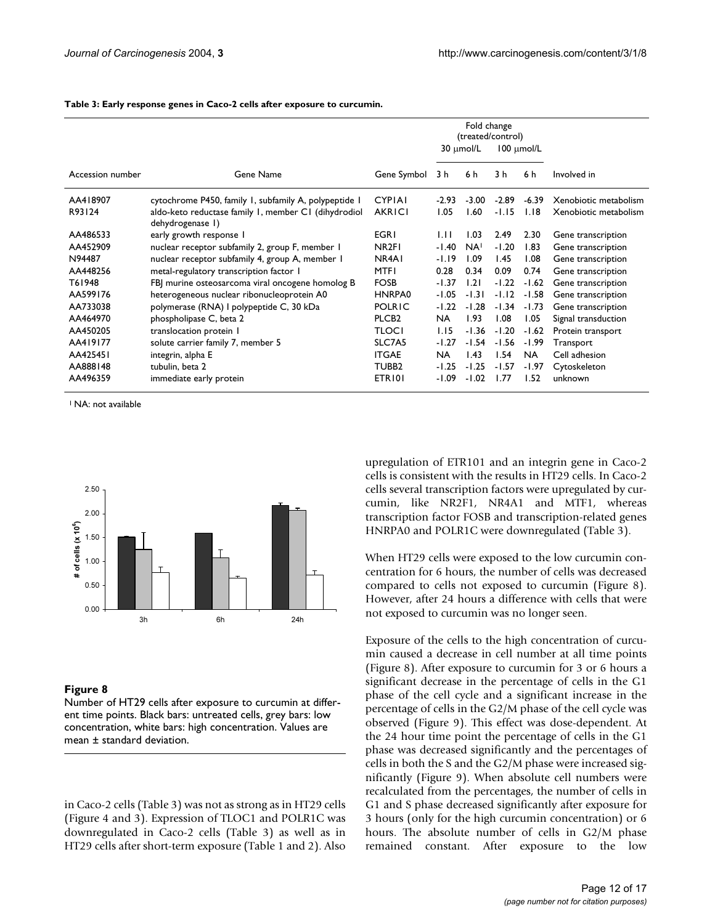|                  |                                                                          |                   | Fold change<br>(treated/control) |                 |                 |           |                       |
|------------------|--------------------------------------------------------------------------|-------------------|----------------------------------|-----------------|-----------------|-----------|-----------------------|
|                  |                                                                          |                   | 30 µmol/L                        |                 | $100 \mu$ mol/L |           |                       |
| Accession number | Gene Name                                                                | Gene Symbol       | 3 h                              | 6 h             | 3 h             | 6 h       | Involved in           |
| AA418907         | cytochrome P450, family 1, subfamily A, polypeptide 1                    | <b>CYPIAI</b>     | $-2.93$                          | $-3.00$         | $-2.89$         | $-6.39$   | Xenobiotic metabolism |
| R93124           | aldo-keto reductase family 1, member C1 (dihydrodiol<br>dehydrogenase I) | <b>AKRICI</b>     | 1.05                             | 1.60            | $-1.15$         | 1.18      | Xenobiotic metabolism |
| AA486533         | early growth response I                                                  | <b>EGRI</b>       | 1.11                             | 1.03            | 2.49            | 2.30      | Gene transcription    |
| AA452909         | nuclear receptor subfamily 2, group F, member 1                          | NR <sub>2F1</sub> | -1.40                            | NA <sup>I</sup> | $-1.20$         | 1.83      | Gene transcription    |
| N94487           | nuclear receptor subfamily 4, group A, member 1                          | NR4A1             | $-1.19$                          | 1.09            | 1.45            | 1.08      | Gene transcription    |
| AA448256         | metal-regulatory transcription factor 1                                  | <b>MTFI</b>       | 0.28                             | 0.34            | 0.09            | 0.74      | Gene transcription    |
| T61948           | FBJ murine osteosarcoma viral oncogene homolog B                         | <b>FOSB</b>       | -1.37                            | 1.21            | $-1.22$         | $-1.62$   | Gene transcription    |
| AA599176         | heterogeneous nuclear ribonucleoprotein A0                               | HNRPA0            | $-1.05$                          | $-1.31$         | $-1.12$         | $-1.58$   | Gene transcription    |
| AA733038         | polymerase (RNA) I polypeptide C, 30 kDa                                 | <b>POLRIC</b>     | $-1.22$                          | $-1.28$         | $-1.34$         | $-1.73$   | Gene transcription    |
| AA464970         | phospholipase C, beta 2                                                  | PLCB <sub>2</sub> | NA.                              | 1.93            | 1.08            | 1.05      | Signal transduction   |
| AA450205         | translocation protein I                                                  | TLOCI             | 1.15                             | $-1.36$         | $-1.20$         | $-1.62$   | Protein transport     |
| AA419177         | solute carrier family 7, member 5                                        | SLC7A5            | $-1.27$                          | $-1.54$         | $-1.56$         | $-1.99$   | Transport             |
| AA425451         | integrin, alpha E                                                        | <b>ITGAE</b>      | <b>NA</b>                        | 1.43            | 1.54            | <b>NA</b> | Cell adhesion         |
| AA888148         | tubulin, beta 2                                                          | TUBB <sub>2</sub> | $-1.25$                          | $-1.25$         | $-1.57$         | -1.97     | Cytoskeleton          |
| AA496359         | immediate early protein                                                  | ETRI01            | $-1.09$                          | $-1.02$         | 1.77            | 1.52      | unknown               |

<span id="page-11-0"></span>**Table 3: Early response genes in Caco-2 cells after exposure to curcumin.**

<sup>1</sup> NA: not available



#### Figure 8

Number of HT29 cells after exposure to curcumin at different time points. Black bars: untreated cells, grey bars: low concentration, white bars: high concentration. Values are mean ± standard deviation.

in Caco-2 cells (Table [3\)](#page-11-0) was not as strong as in HT29 cells (Figure 4 and 3). Expression of TLOC1 and POLR1C was downregulated in Caco-2 cells (Table [3](#page-11-0)) as well as in HT29 cells after short-term exposure (Table [1](#page-5-0) and [2](#page-6-0)). Also upregulation of ETR101 and an integrin gene in Caco-2 cells is consistent with the results in HT29 cells. In Caco-2 cells several transcription factors were upregulated by curcumin, like NR2F1, NR4A1 and MTF1, whereas transcription factor FOSB and transcription-related genes HNRPA0 and POLR1C were downregulated (Table [3](#page-11-0)).

When HT29 cells were exposed to the low curcumin concentration for 6 hours, the number of cells was decreased compared to cells not exposed to curcumin (Figure 8). However, after 24 hours a difference with cells that were not exposed to curcumin was no longer seen.

Exposure of the cells to the high concentration of curcumin caused a decrease in cell number at all time points (Figure 8). After exposure to curcumin for 3 or 6 hours a significant decrease in the percentage of cells in the G1 phase of the cell cycle and a significant increase in the percentage of cells in the G2/M phase of the cell cycle was observed (Figure 9). This effect was dose-dependent. At the 24 hour time point the percentage of cells in the G1 phase was decreased significantly and the percentages of cells in both the S and the G2/M phase were increased significantly (Figure 9). When absolute cell numbers were recalculated from the percentages, the number of cells in G1 and S phase decreased significantly after exposure for 3 hours (only for the high curcumin concentration) or 6 hours. The absolute number of cells in G2/M phase remained constant. After exposure to the low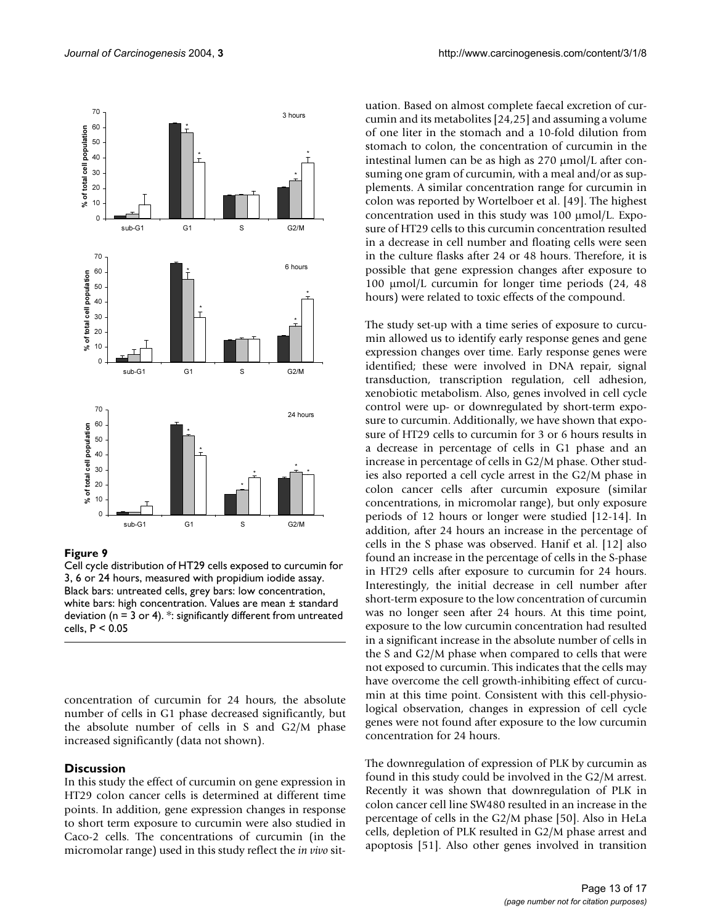

Cell cycle distribution of HT29 cells exposed to curcumin for 3, 6 or 24 hours, measured with propidium iodide assay. Black bars: untreated cells, grey bars: low concentration, white bars: high concentration. Values are mean ± standard deviation ( $n = 3$  or 4). \*: significantly different from untreated cells, P < 0.05

concentration of curcumin for 24 hours, the absolute number of cells in G1 phase decreased significantly, but the absolute number of cells in S and G2/M phase increased significantly (data not shown).

### **Discussion**

In this study the effect of curcumin on gene expression in HT29 colon cancer cells is determined at different time points. In addition, gene expression changes in response to short term exposure to curcumin were also studied in Caco-2 cells. The concentrations of curcumin (in the micromolar range) used in this study reflect the *in vivo* situation. Based on almost complete faecal excretion of curcumin and its metabolites [24,25] and assuming a volume of one liter in the stomach and a 10-fold dilution from stomach to colon, the concentration of curcumin in the intestinal lumen can be as high as 270 µmol/L after consuming one gram of curcumin, with a meal and/or as supplements. A similar concentration range for curcumin in colon was reported by Wortelboer et al. [49]. The highest concentration used in this study was  $100 \mu \mathrm{mol/L}$ . Exposure of HT29 cells to this curcumin concentration resulted in a decrease in cell number and floating cells were seen in the culture flasks after 24 or 48 hours. Therefore, it is possible that gene expression changes after exposure to 100 µmol/L curcumin for longer time periods (24, 48 hours) were related to toxic effects of the compound.

The study set-up with a time series of exposure to curcumin allowed us to identify early response genes and gene expression changes over time. Early response genes were identified; these were involved in DNA repair, signal transduction, transcription regulation, cell adhesion, xenobiotic metabolism. Also, genes involved in cell cycle control were up- or downregulated by short-term exposure to curcumin. Additionally, we have shown that exposure of HT29 cells to curcumin for 3 or 6 hours results in a decrease in percentage of cells in G1 phase and an increase in percentage of cells in G2/M phase. Other studies also reported a cell cycle arrest in the G2/M phase in colon cancer cells after curcumin exposure (similar concentrations, in micromolar range), but only exposure periods of 12 hours or longer were studied [12-14]. In addition, after 24 hours an increase in the percentage of cells in the S phase was observed. Hanif et al. [12] also found an increase in the percentage of cells in the S-phase in HT29 cells after exposure to curcumin for 24 hours. Interestingly, the initial decrease in cell number after short-term exposure to the low concentration of curcumin was no longer seen after 24 hours. At this time point, exposure to the low curcumin concentration had resulted in a significant increase in the absolute number of cells in the S and G2/M phase when compared to cells that were not exposed to curcumin. This indicates that the cells may have overcome the cell growth-inhibiting effect of curcumin at this time point. Consistent with this cell-physiological observation, changes in expression of cell cycle genes were not found after exposure to the low curcumin concentration for 24 hours.

The downregulation of expression of PLK by curcumin as found in this study could be involved in the G2/M arrest. Recently it was shown that downregulation of PLK in colon cancer cell line SW480 resulted in an increase in the percentage of cells in the G2/M phase [50]. Also in HeLa cells, depletion of PLK resulted in G2/M phase arrest and apoptosis [51]. Also other genes involved in transition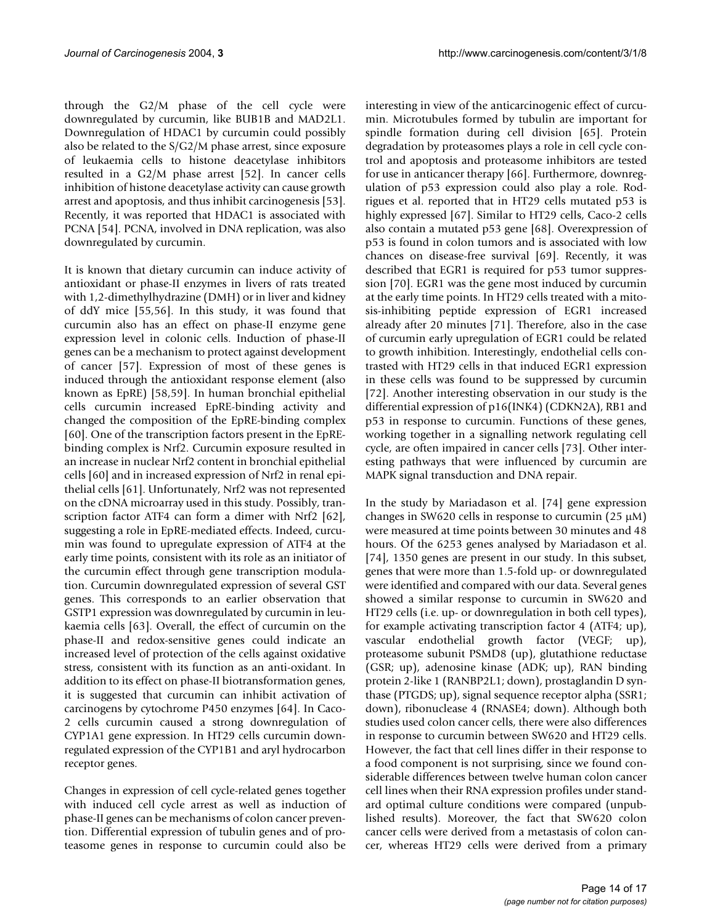through the G2/M phase of the cell cycle were downregulated by curcumin, like BUB1B and MAD2L1. Downregulation of HDAC1 by curcumin could possibly also be related to the S/G2/M phase arrest, since exposure of leukaemia cells to histone deacetylase inhibitors resulted in a G2/M phase arrest [52]. In cancer cells inhibition of histone deacetylase activity can cause growth arrest and apoptosis, and thus inhibit carcinogenesis [53]. Recently, it was reported that HDAC1 is associated with PCNA [54]. PCNA, involved in DNA replication, was also downregulated by curcumin.

It is known that dietary curcumin can induce activity of antioxidant or phase-II enzymes in livers of rats treated with 1,2-dimethylhydrazine (DMH) or in liver and kidney of ddY mice [55,56]. In this study, it was found that curcumin also has an effect on phase-II enzyme gene expression level in colonic cells. Induction of phase-II genes can be a mechanism to protect against development of cancer [57]. Expression of most of these genes is induced through the antioxidant response element (also known as EpRE) [58,59]. In human bronchial epithelial cells curcumin increased EpRE-binding activity and changed the composition of the EpRE-binding complex [60]. One of the transcription factors present in the EpREbinding complex is Nrf2. Curcumin exposure resulted in an increase in nuclear Nrf2 content in bronchial epithelial cells [60] and in increased expression of Nrf2 in renal epithelial cells [61]. Unfortunately, Nrf2 was not represented on the cDNA microarray used in this study. Possibly, transcription factor ATF4 can form a dimer with Nrf2 [62], suggesting a role in EpRE-mediated effects. Indeed, curcumin was found to upregulate expression of ATF4 at the early time points, consistent with its role as an initiator of the curcumin effect through gene transcription modulation. Curcumin downregulated expression of several GST genes. This corresponds to an earlier observation that GSTP1 expression was downregulated by curcumin in leukaemia cells [63]. Overall, the effect of curcumin on the phase-II and redox-sensitive genes could indicate an increased level of protection of the cells against oxidative stress, consistent with its function as an anti-oxidant. In addition to its effect on phase-II biotransformation genes, it is suggested that curcumin can inhibit activation of carcinogens by cytochrome P450 enzymes [64]. In Caco-2 cells curcumin caused a strong downregulation of CYP1A1 gene expression. In HT29 cells curcumin downregulated expression of the CYP1B1 and aryl hydrocarbon receptor genes.

Changes in expression of cell cycle-related genes together with induced cell cycle arrest as well as induction of phase-II genes can be mechanisms of colon cancer prevention. Differential expression of tubulin genes and of proteasome genes in response to curcumin could also be interesting in view of the anticarcinogenic effect of curcumin. Microtubules formed by tubulin are important for spindle formation during cell division [65]. Protein degradation by proteasomes plays a role in cell cycle control and apoptosis and proteasome inhibitors are tested for use in anticancer therapy [66]. Furthermore, downregulation of p53 expression could also play a role. Rodrigues et al. reported that in HT29 cells mutated p53 is highly expressed [67]. Similar to HT29 cells, Caco-2 cells also contain a mutated p53 gene [68]. Overexpression of p53 is found in colon tumors and is associated with low chances on disease-free survival [69]. Recently, it was described that EGR1 is required for p53 tumor suppression [70]. EGR1 was the gene most induced by curcumin at the early time points. In HT29 cells treated with a mitosis-inhibiting peptide expression of EGR1 increased already after 20 minutes [71]. Therefore, also in the case of curcumin early upregulation of EGR1 could be related to growth inhibition. Interestingly, endothelial cells contrasted with HT29 cells in that induced EGR1 expression in these cells was found to be suppressed by curcumin [72]. Another interesting observation in our study is the differential expression of p16(INK4) (CDKN2A), RB1 and p53 in response to curcumin. Functions of these genes, working together in a signalling network regulating cell cycle, are often impaired in cancer cells [73]. Other interesting pathways that were influenced by curcumin are MAPK signal transduction and DNA repair.

In the study by Mariadason et al. [74] gene expression changes in SW620 cells in response to curcumin (25  $\mu$ M) were measured at time points between 30 minutes and 48 hours. Of the 6253 genes analysed by Mariadason et al. [74], 1350 genes are present in our study. In this subset, genes that were more than 1.5-fold up- or downregulated were identified and compared with our data. Several genes showed a similar response to curcumin in SW620 and HT29 cells (i.e. up- or downregulation in both cell types), for example activating transcription factor 4 (ATF4; up), vascular endothelial growth factor (VEGF; up), proteasome subunit PSMD8 (up), glutathione reductase (GSR; up), adenosine kinase (ADK; up), RAN binding protein 2-like 1 (RANBP2L1; down), prostaglandin D synthase (PTGDS; up), signal sequence receptor alpha (SSR1; down), ribonuclease 4 (RNASE4; down). Although both studies used colon cancer cells, there were also differences in response to curcumin between SW620 and HT29 cells. However, the fact that cell lines differ in their response to a food component is not surprising, since we found considerable differences between twelve human colon cancer cell lines when their RNA expression profiles under standard optimal culture conditions were compared (unpublished results). Moreover, the fact that SW620 colon cancer cells were derived from a metastasis of colon cancer, whereas HT29 cells were derived from a primary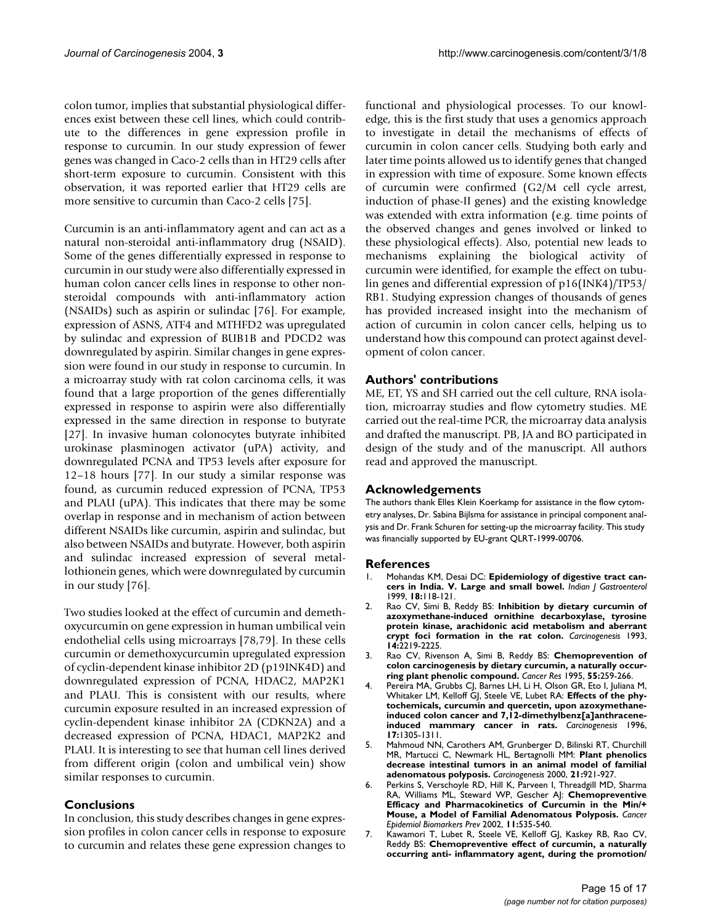colon tumor, implies that substantial physiological differences exist between these cell lines, which could contribute to the differences in gene expression profile in response to curcumin. In our study expression of fewer genes was changed in Caco-2 cells than in HT29 cells after short-term exposure to curcumin. Consistent with this observation, it was reported earlier that HT29 cells are more sensitive to curcumin than Caco-2 cells [75].

Curcumin is an anti-inflammatory agent and can act as a natural non-steroidal anti-inflammatory drug (NSAID). Some of the genes differentially expressed in response to curcumin in our study were also differentially expressed in human colon cancer cells lines in response to other nonsteroidal compounds with anti-inflammatory action (NSAIDs) such as aspirin or sulindac [76]. For example, expression of ASNS, ATF4 and MTHFD2 was upregulated by sulindac and expression of BUB1B and PDCD2 was downregulated by aspirin. Similar changes in gene expression were found in our study in response to curcumin. In a microarray study with rat colon carcinoma cells, it was found that a large proportion of the genes differentially expressed in response to aspirin were also differentially expressed in the same direction in response to butyrate [27]. In invasive human colonocytes butyrate inhibited urokinase plasminogen activator (uPA) activity, and downregulated PCNA and TP53 levels after exposure for 12–18 hours [77]. In our study a similar response was found, as curcumin reduced expression of PCNA, TP53 and PLAU (uPA). This indicates that there may be some overlap in response and in mechanism of action between different NSAIDs like curcumin, aspirin and sulindac, but also between NSAIDs and butyrate. However, both aspirin and sulindac increased expression of several metallothionein genes, which were downregulated by curcumin in our study [76].

Two studies looked at the effect of curcumin and demethoxycurcumin on gene expression in human umbilical vein endothelial cells using microarrays [78,79]. In these cells curcumin or demethoxycurcumin upregulated expression of cyclin-dependent kinase inhibitor 2D (p19INK4D) and downregulated expression of PCNA, HDAC2, MAP2K1 and PLAU. This is consistent with our results, where curcumin exposure resulted in an increased expression of cyclin-dependent kinase inhibitor 2A (CDKN2A) and a decreased expression of PCNA, HDAC1, MAP2K2 and PLAU. It is interesting to see that human cell lines derived from different origin (colon and umbilical vein) show similar responses to curcumin.

# **Conclusions**

In conclusion, this study describes changes in gene expression profiles in colon cancer cells in response to exposure to curcumin and relates these gene expression changes to functional and physiological processes. To our knowledge, this is the first study that uses a genomics approach to investigate in detail the mechanisms of effects of curcumin in colon cancer cells. Studying both early and later time points allowed us to identify genes that changed in expression with time of exposure. Some known effects of curcumin were confirmed (G2/M cell cycle arrest, induction of phase-II genes) and the existing knowledge was extended with extra information (e.g. time points of the observed changes and genes involved or linked to these physiological effects). Also, potential new leads to mechanisms explaining the biological activity of curcumin were identified, for example the effect on tubulin genes and differential expression of p16(INK4)/TP53/ RB1. Studying expression changes of thousands of genes has provided increased insight into the mechanism of action of curcumin in colon cancer cells, helping us to understand how this compound can protect against development of colon cancer.

### **Authors' contributions**

ME, ET, YS and SH carried out the cell culture, RNA isolation, microarray studies and flow cytometry studies. ME carried out the real-time PCR, the microarray data analysis and drafted the manuscript. PB, JA and BO participated in design of the study and of the manuscript. All authors read and approved the manuscript.

### **Acknowledgements**

The authors thank Elles Klein Koerkamp for assistance in the flow cytometry analyses, Dr. Sabina Bijlsma for assistance in principal component analysis and Dr. Frank Schuren for setting-up the microarray facility. This study was financially supported by EU-grant QLRT-1999-00706.

#### **References**

- 1. Mohandas KM, Desai DC: **[Epidemiology of digestive tract can](http://www.ncbi.nlm.nih.gov/entrez/query.fcgi?cmd=Retrieve&db=PubMed&dopt=Abstract&list_uids=10407566)[cers in India. V. Large and small bowel.](http://www.ncbi.nlm.nih.gov/entrez/query.fcgi?cmd=Retrieve&db=PubMed&dopt=Abstract&list_uids=10407566)** *Indian J Gastroenterol* 1999, **18:**118-121.
- 2. Rao CV, Simi B, Reddy BS: **[Inhibition by dietary curcumin of](http://www.ncbi.nlm.nih.gov/entrez/query.fcgi?cmd=Retrieve&db=PubMed&dopt=Abstract&list_uids=8242846) azoxymethane-induced ornithine decarboxylase, tyrosine [protein kinase, arachidonic acid metabolism and aberrant](http://www.ncbi.nlm.nih.gov/entrez/query.fcgi?cmd=Retrieve&db=PubMed&dopt=Abstract&list_uids=8242846) [crypt foci formation in the rat colon.](http://www.ncbi.nlm.nih.gov/entrez/query.fcgi?cmd=Retrieve&db=PubMed&dopt=Abstract&list_uids=8242846)** *Carcinogenesis* 1993, **14:**2219-2225.
- 3. Rao CV, Rivenson A, Simi B, Reddy BS: **[Chemoprevention of](http://www.ncbi.nlm.nih.gov/entrez/query.fcgi?cmd=Retrieve&db=PubMed&dopt=Abstract&list_uids=7812955) [colon carcinogenesis by dietary curcumin, a naturally occur](http://www.ncbi.nlm.nih.gov/entrez/query.fcgi?cmd=Retrieve&db=PubMed&dopt=Abstract&list_uids=7812955)[ring plant phenolic compound.](http://www.ncbi.nlm.nih.gov/entrez/query.fcgi?cmd=Retrieve&db=PubMed&dopt=Abstract&list_uids=7812955)** *Cancer Res* 1995, **55:**259-266.
- 4. Pereira MA, Grubbs CJ, Barnes LH, Li H, Olson GR, Eto I, Juliana M, Whitaker LM, Kelloff GJ, Steele VE, Lubet RA: **[Effects of the phy](http://www.ncbi.nlm.nih.gov/entrez/query.fcgi?cmd=Retrieve&db=PubMed&dopt=Abstract&list_uids=8681447)[tochemicals, curcumin and quercetin, upon azoxymethane](http://www.ncbi.nlm.nih.gov/entrez/query.fcgi?cmd=Retrieve&db=PubMed&dopt=Abstract&list_uids=8681447)induced colon cancer and 7,12-dimethylbenz[a]anthracene[induced mammary cancer in rats.](http://www.ncbi.nlm.nih.gov/entrez/query.fcgi?cmd=Retrieve&db=PubMed&dopt=Abstract&list_uids=8681447)** *Carcinogenesis* 1996, **17:**1305-1311.
- 5. Mahmoud NN, Carothers AM, Grunberger D, Bilinski RT, Churchill MR, Martucci C, Newmark HL, Bertagnolli MM: **[Plant phenolics](http://www.ncbi.nlm.nih.gov/entrez/query.fcgi?cmd=Retrieve&db=PubMed&dopt=Abstract&list_uids=10.1093/carcin/21.5.921) [decrease intestinal tumors in an animal model of familial](http://www.ncbi.nlm.nih.gov/entrez/query.fcgi?cmd=Retrieve&db=PubMed&dopt=Abstract&list_uids=10.1093/carcin/21.5.921) [adenomatous polyposis](http://www.ncbi.nlm.nih.gov/entrez/query.fcgi?cmd=Retrieve&db=PubMed&dopt=Abstract&list_uids=10.1093/carcin/21.5.921)[.](http://www.ncbi.nlm.nih.gov/entrez/query.fcgi?cmd=Retrieve&db=PubMed&dopt=Abstract&list_uids=10783313)** *Carcinogenesis* 2000, **21:**921-927.
- 6. Perkins S, Verschoyle RD, Hill K, Parveen I, Threadgill MD, Sharma RA, Williams ML, Steward WP, Gescher AJ: **[Chemopreventive](http://www.ncbi.nlm.nih.gov/entrez/query.fcgi?cmd=Retrieve&db=PubMed&dopt=Abstract&list_uids=12050094) [Efficacy and Pharmacokinetics of Curcumin in the Min/+](http://www.ncbi.nlm.nih.gov/entrez/query.fcgi?cmd=Retrieve&db=PubMed&dopt=Abstract&list_uids=12050094) [Mouse, a Model of Familial Adenomatous Polyposis.](http://www.ncbi.nlm.nih.gov/entrez/query.fcgi?cmd=Retrieve&db=PubMed&dopt=Abstract&list_uids=12050094)** *Cancer Epidemiol Biomarkers Prev* 2002, **11:**535-540.
- 7. Kawamori T, Lubet R, Steele VE, Kelloff GJ, Kaskey RB, Rao CV, Reddy BS: **[Chemopreventive effect of curcumin, a naturally](http://www.ncbi.nlm.nih.gov/entrez/query.fcgi?cmd=Retrieve&db=PubMed&dopt=Abstract&list_uids=9973206) [occurring anti- inflammatory agent, during the promotion/](http://www.ncbi.nlm.nih.gov/entrez/query.fcgi?cmd=Retrieve&db=PubMed&dopt=Abstract&list_uids=9973206)**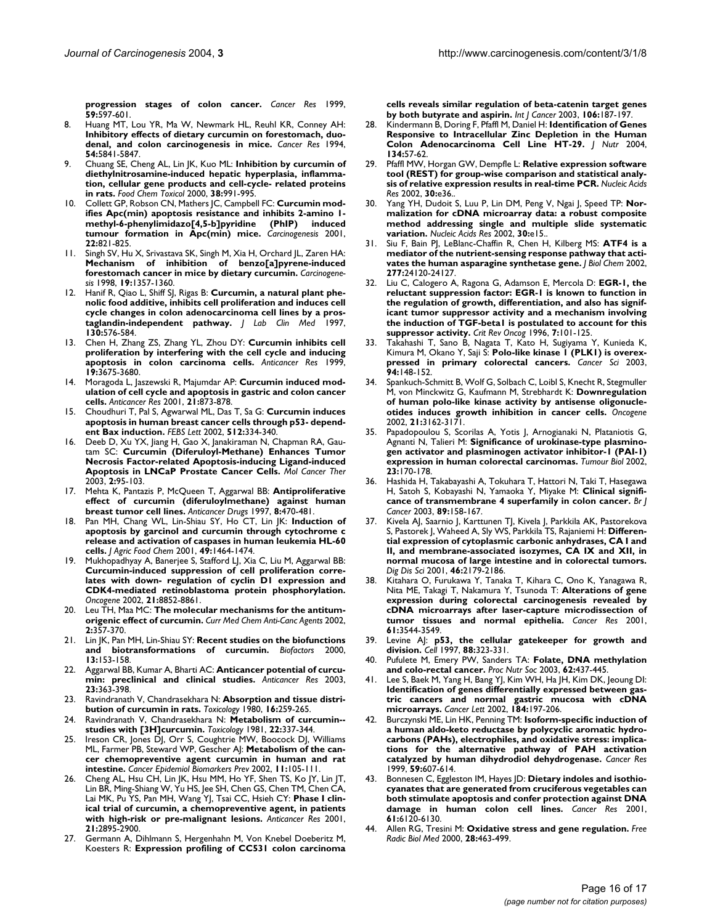**[progression stages of colon cancer.](http://www.ncbi.nlm.nih.gov/entrez/query.fcgi?cmd=Retrieve&db=PubMed&dopt=Abstract&list_uids=9973206)** *Cancer Res* 1999, **59:**597-601.

- 8. Huang MT, Lou YR, Ma W, Newmark HL, Reuhl KR, Conney AH: **[Inhibitory effects of dietary curcumin on forestomach, duo](http://www.ncbi.nlm.nih.gov/entrez/query.fcgi?cmd=Retrieve&db=PubMed&dopt=Abstract&list_uids=7954412)[denal, and colon carcinogenesis in mice.](http://www.ncbi.nlm.nih.gov/entrez/query.fcgi?cmd=Retrieve&db=PubMed&dopt=Abstract&list_uids=7954412)** *Cancer Res* 1994, **54:**5841-5847.
- 9. Chuang SE, Cheng AL, Lin JK, Kuo ML: **[Inhibition by curcumin of](http://www.ncbi.nlm.nih.gov/entrez/query.fcgi?cmd=Retrieve&db=PubMed&dopt=Abstract&list_uids=10.1016/S0278-6915(00)00101-0) diethylnitrosamine-induced hepatic hyperplasia, inflamma[tion, cellular gene products and cell-cycle- related proteins](http://www.ncbi.nlm.nih.gov/entrez/query.fcgi?cmd=Retrieve&db=PubMed&dopt=Abstract&list_uids=10.1016/S0278-6915(00)00101-0) [in rats](http://www.ncbi.nlm.nih.gov/entrez/query.fcgi?cmd=Retrieve&db=PubMed&dopt=Abstract&list_uids=10.1016/S0278-6915(00)00101-0)[.](http://www.ncbi.nlm.nih.gov/entrez/query.fcgi?cmd=Retrieve&db=PubMed&dopt=Abstract&list_uids=11038236)** *Food Chem Toxicol* 2000, **38:**991-995.
- 10. Collett GP, Robson CN, Mathers JC, Campbell FC: **[Curcumin mod](http://www.ncbi.nlm.nih.gov/entrez/query.fcgi?cmd=Retrieve&db=PubMed&dopt=Abstract&list_uids=10.1093/carcin/22.5.821)ifies Apc(min) apoptosis resistance and inhibits 2-amino 1** methyl-6-phenylimidazo[4,5-b]pyridine **[tumour formation in Apc\(min\) mice](http://www.ncbi.nlm.nih.gov/entrez/query.fcgi?cmd=Retrieve&db=PubMed&dopt=Abstract&list_uids=10.1093/carcin/22.5.821)[.](http://www.ncbi.nlm.nih.gov/entrez/query.fcgi?cmd=Retrieve&db=PubMed&dopt=Abstract&list_uids=11323404)** *Carcinogenesis* 2001, **22:**821-825.
- 11. Singh SV, Hu X, Srivastava SK, Singh M, Xia H, Orchard JL, Zaren HA: **[Mechanism of inhibition of benzo\[a\]pyrene-induced](http://www.ncbi.nlm.nih.gov/entrez/query.fcgi?cmd=Retrieve&db=PubMed&dopt=Abstract&list_uids=10.1093/carcin/19.8.1357) [forestomach cancer in mice by dietary curcumin](http://www.ncbi.nlm.nih.gov/entrez/query.fcgi?cmd=Retrieve&db=PubMed&dopt=Abstract&list_uids=10.1093/carcin/19.8.1357)[.](http://www.ncbi.nlm.nih.gov/entrez/query.fcgi?cmd=Retrieve&db=PubMed&dopt=Abstract&list_uids=9744529)** *Carcinogenesis* 1998, **19:**1357-1360.
- 12. Hanif R, Qiao L, Shiff SJ, Rigas B: **[Curcumin, a natural plant phe](http://www.ncbi.nlm.nih.gov/entrez/query.fcgi?cmd=Retrieve&db=PubMed&dopt=Abstract&list_uids=9422331)[nolic food additive, inhibits cell proliferation and induces cell](http://www.ncbi.nlm.nih.gov/entrez/query.fcgi?cmd=Retrieve&db=PubMed&dopt=Abstract&list_uids=9422331) cycle changes in colon adenocarcinoma cell lines by a pros[taglandin-independent pathway.](http://www.ncbi.nlm.nih.gov/entrez/query.fcgi?cmd=Retrieve&db=PubMed&dopt=Abstract&list_uids=9422331)** *J Lab Clin Med* 1997, **130:**576-584.
- 13. Chen H, Zhang ZS, Zhang YL, Zhou DY: **[Curcumin inhibits cell](http://www.ncbi.nlm.nih.gov/entrez/query.fcgi?cmd=Retrieve&db=PubMed&dopt=Abstract&list_uids=10625938) [proliferation by interfering with the cell cycle and inducing](http://www.ncbi.nlm.nih.gov/entrez/query.fcgi?cmd=Retrieve&db=PubMed&dopt=Abstract&list_uids=10625938) [apoptosis in colon carcinoma cells.](http://www.ncbi.nlm.nih.gov/entrez/query.fcgi?cmd=Retrieve&db=PubMed&dopt=Abstract&list_uids=10625938)** *Anticancer Res* 1999, **19:**3675-3680.
- 14. Moragoda L, Jaszewski R, Majumdar AP: **[Curcumin induced mod](http://www.ncbi.nlm.nih.gov/entrez/query.fcgi?cmd=Retrieve&db=PubMed&dopt=Abstract&list_uids=11396178)[ulation of cell cycle and apoptosis in gastric and colon cancer](http://www.ncbi.nlm.nih.gov/entrez/query.fcgi?cmd=Retrieve&db=PubMed&dopt=Abstract&list_uids=11396178) [cells.](http://www.ncbi.nlm.nih.gov/entrez/query.fcgi?cmd=Retrieve&db=PubMed&dopt=Abstract&list_uids=11396178)** *Anticancer Res* 2001, **21:**873-878.
- 15. Choudhuri T, Pal S, Agwarwal ML, Das T, Sa G: **[Curcumin induces](http://www.ncbi.nlm.nih.gov/entrez/query.fcgi?cmd=Retrieve&db=PubMed&dopt=Abstract&list_uids=10.1016/S0014-5793(02)02292-5) [apoptosis in human breast cancer cells through p53- depend](http://www.ncbi.nlm.nih.gov/entrez/query.fcgi?cmd=Retrieve&db=PubMed&dopt=Abstract&list_uids=10.1016/S0014-5793(02)02292-5)[ent Bax induction](http://www.ncbi.nlm.nih.gov/entrez/query.fcgi?cmd=Retrieve&db=PubMed&dopt=Abstract&list_uids=10.1016/S0014-5793(02)02292-5)[.](http://www.ncbi.nlm.nih.gov/entrez/query.fcgi?cmd=Retrieve&db=PubMed&dopt=Abstract&list_uids=11852106)** *FEBS Lett* 2002, **512:**334-340.
- 16. Deeb D, Xu YX, Jiang H, Gao X, Janakiraman N, Chapman RA, Gautam SC: **[Curcumin \(Diferuloyl-Methane\) Enhances Tumor](http://www.ncbi.nlm.nih.gov/entrez/query.fcgi?cmd=Retrieve&db=PubMed&dopt=Abstract&list_uids=12533677) [Necrosis Factor-related Apoptosis-inducing Ligand-induced](http://www.ncbi.nlm.nih.gov/entrez/query.fcgi?cmd=Retrieve&db=PubMed&dopt=Abstract&list_uids=12533677) [Apoptosis in LNCaP Prostate Cancer Cells.](http://www.ncbi.nlm.nih.gov/entrez/query.fcgi?cmd=Retrieve&db=PubMed&dopt=Abstract&list_uids=12533677)** *Mol Cancer Ther* 2003, **2:**95-103.
- 17. Mehta K, Pantazis P, McQueen T, Aggarwal BB: **[Antiproliferative](http://www.ncbi.nlm.nih.gov/entrez/query.fcgi?cmd=Retrieve&db=PubMed&dopt=Abstract&list_uids=9215611) [effect of curcumin \(diferuloylmethane\) against human](http://www.ncbi.nlm.nih.gov/entrez/query.fcgi?cmd=Retrieve&db=PubMed&dopt=Abstract&list_uids=9215611) [breast tumor cell lines.](http://www.ncbi.nlm.nih.gov/entrez/query.fcgi?cmd=Retrieve&db=PubMed&dopt=Abstract&list_uids=9215611)** *Anticancer Drugs* 1997, **8:**470-481.
- 18. Pan MH, Chang WL, Lin-Shiau SY, Ho CT, Lin JK: **[Induction of](http://www.ncbi.nlm.nih.gov/entrez/query.fcgi?cmd=Retrieve&db=PubMed&dopt=Abstract&list_uids=10.1021/jf001129v) apoptosis by garcinol and curcumin through cytochrome c [release and activation of caspases in human leukemia HL-60](http://www.ncbi.nlm.nih.gov/entrez/query.fcgi?cmd=Retrieve&db=PubMed&dopt=Abstract&list_uids=10.1021/jf001129v) [cells](http://www.ncbi.nlm.nih.gov/entrez/query.fcgi?cmd=Retrieve&db=PubMed&dopt=Abstract&list_uids=10.1021/jf001129v)[.](http://www.ncbi.nlm.nih.gov/entrez/query.fcgi?cmd=Retrieve&db=PubMed&dopt=Abstract&list_uids=11312881)** *J Agric Food Chem* 2001, **49:**1464-1474.
- 19. Mukhopadhyay A, Banerjee S, Stafford LJ, Xia C, Liu M, Aggarwal BB: **Curcumin-induced suppression of cell proliferation corre[lates with down- regulation of cyclin D1 expression and](http://www.ncbi.nlm.nih.gov/entrez/query.fcgi?cmd=Retrieve&db=PubMed&dopt=Abstract&list_uids=10.1038/sj.onc.1206048) [CDK4-mediated retinoblastoma protein phosphorylation](http://www.ncbi.nlm.nih.gov/entrez/query.fcgi?cmd=Retrieve&db=PubMed&dopt=Abstract&list_uids=10.1038/sj.onc.1206048)[.](http://www.ncbi.nlm.nih.gov/entrez/query.fcgi?cmd=Retrieve&db=PubMed&dopt=Abstract&list_uids=12483537)** *Oncogene* 2002, **21:**8852-8861.
- 20. Leu TH, Maa MC: **[The molecular mechanisms for the antitum](http://www.ncbi.nlm.nih.gov/entrez/query.fcgi?cmd=Retrieve&db=PubMed&dopt=Abstract&list_uids=12678737)[origenic effect of curcumin.](http://www.ncbi.nlm.nih.gov/entrez/query.fcgi?cmd=Retrieve&db=PubMed&dopt=Abstract&list_uids=12678737)** *Curr Med Chem Anti-Canc Agents* 2002, **2:**357-370.
- 21. Lin JK, Pan MH, Lin-Shiau SY: **[Recent studies on the biofunctions](http://www.ncbi.nlm.nih.gov/entrez/query.fcgi?cmd=Retrieve&db=PubMed&dopt=Abstract&list_uids=11237176) [and biotransformations of curcumin.](http://www.ncbi.nlm.nih.gov/entrez/query.fcgi?cmd=Retrieve&db=PubMed&dopt=Abstract&list_uids=11237176)** *Biofactors* 2000, **13:**153-158.
- 22. Aggarwal BB, Kumar A, Bharti AC: **[Anticancer potential of curcu](http://www.ncbi.nlm.nih.gov/entrez/query.fcgi?cmd=Retrieve&db=PubMed&dopt=Abstract&list_uids=12680238)[min: preclinical and clinical studies.](http://www.ncbi.nlm.nih.gov/entrez/query.fcgi?cmd=Retrieve&db=PubMed&dopt=Abstract&list_uids=12680238)** *Anticancer Res* 2003, **23:**363-398.
- 23. Ravindranath V, Chandrasekhara N: **[Absorption and tissue distri](http://www.ncbi.nlm.nih.gov/entrez/query.fcgi?cmd=Retrieve&db=PubMed&dopt=Abstract&list_uids=10.1016/0300-483X(80)90122-5)[bution of curcumin in rats](http://www.ncbi.nlm.nih.gov/entrez/query.fcgi?cmd=Retrieve&db=PubMed&dopt=Abstract&list_uids=10.1016/0300-483X(80)90122-5)[.](http://www.ncbi.nlm.nih.gov/entrez/query.fcgi?cmd=Retrieve&db=PubMed&dopt=Abstract&list_uids=7423534)** *Toxicology* 1980, **16:**259-265.
- 24. Ravindranath V, Chandrasekhara N: **[Metabolism of curcumin-](http://www.ncbi.nlm.nih.gov/entrez/query.fcgi?cmd=Retrieve&db=PubMed&dopt=Abstract&list_uids=10.1016/0300-483X(81)90027-5) [studies with \[3H\]curcumin](http://www.ncbi.nlm.nih.gov/entrez/query.fcgi?cmd=Retrieve&db=PubMed&dopt=Abstract&list_uids=10.1016/0300-483X(81)90027-5)[.](http://www.ncbi.nlm.nih.gov/entrez/query.fcgi?cmd=Retrieve&db=PubMed&dopt=Abstract&list_uids=7342372)** *Toxicology* 1981, **22:**337-344.
- 25. Ireson CR, Jones DJ, Orr S, Coughtrie MW, Boocock DJ, Williams ML, Farmer PB, Steward WP, Gescher AJ: **[Metabolism of the can](http://www.ncbi.nlm.nih.gov/entrez/query.fcgi?cmd=Retrieve&db=PubMed&dopt=Abstract&list_uids=11815407)[cer chemopreventive agent curcumin in human and rat](http://www.ncbi.nlm.nih.gov/entrez/query.fcgi?cmd=Retrieve&db=PubMed&dopt=Abstract&list_uids=11815407) [intestine.](http://www.ncbi.nlm.nih.gov/entrez/query.fcgi?cmd=Retrieve&db=PubMed&dopt=Abstract&list_uids=11815407)** *Cancer Epidemiol Biomarkers Prev* 2002, **11:**105-111.
- 26. Cheng AL, Hsu CH, Lin JK, Hsu MM, Ho YF, Shen TS, Ko JY, Lin JT, Lin BR, Ming-Shiang W, Yu HS, Jee SH, Chen GS, Chen TM, Chen CA, Lai MK, Pu YS, Pan MH, Wang YJ, Tsai CC, Hsieh CY: **[Phase I clin](http://www.ncbi.nlm.nih.gov/entrez/query.fcgi?cmd=Retrieve&db=PubMed&dopt=Abstract&list_uids=11712783)[ical trial of curcumin, a chemopreventive agent, in patients](http://www.ncbi.nlm.nih.gov/entrez/query.fcgi?cmd=Retrieve&db=PubMed&dopt=Abstract&list_uids=11712783) [with high-risk or pre-malignant lesions.](http://www.ncbi.nlm.nih.gov/entrez/query.fcgi?cmd=Retrieve&db=PubMed&dopt=Abstract&list_uids=11712783)** *Anticancer Res* 2001, **21:**2895-2900.
- 27. Germann A, Dihlmann S, Hergenhahn M, Von Knebel Doeberitz M, Koesters R: **[Expression profiling of CC531 colon carcinoma](http://www.ncbi.nlm.nih.gov/entrez/query.fcgi?cmd=Retrieve&db=PubMed&dopt=Abstract&list_uids=10.1002/ijc.11215)**

**[cells reveals similar regulation of beta-catenin target genes](http://www.ncbi.nlm.nih.gov/entrez/query.fcgi?cmd=Retrieve&db=PubMed&dopt=Abstract&list_uids=10.1002/ijc.11215) [by both butyrate and aspirin](http://www.ncbi.nlm.nih.gov/entrez/query.fcgi?cmd=Retrieve&db=PubMed&dopt=Abstract&list_uids=10.1002/ijc.11215)[.](http://www.ncbi.nlm.nih.gov/entrez/query.fcgi?cmd=Retrieve&db=PubMed&dopt=Abstract&list_uids=12800193)** *Int J Cancer* 2003, **106:**187-197.

- 28. Kindermann B, Doring F, Pfaffl M, Daniel H: **[Identification of Genes](http://www.ncbi.nlm.nih.gov/entrez/query.fcgi?cmd=Retrieve&db=PubMed&dopt=Abstract&list_uids=14704293) [Responsive to Intracellular Zinc Depletion in the Human](http://www.ncbi.nlm.nih.gov/entrez/query.fcgi?cmd=Retrieve&db=PubMed&dopt=Abstract&list_uids=14704293) [Colon Adenocarcinoma Cell Line HT-29.](http://www.ncbi.nlm.nih.gov/entrez/query.fcgi?cmd=Retrieve&db=PubMed&dopt=Abstract&list_uids=14704293)** *J Nutr* 2004, **134:**57-62.
- 29. Pfaffl MW, Horgan GW, Dempfle L: **[Relative expression software](http://www.ncbi.nlm.nih.gov/entrez/query.fcgi?cmd=Retrieve&db=PubMed&dopt=Abstract&list_uids=10.1093/nar/30.9.e36) [tool \(REST\) for group-wise comparison and statistical analy](http://www.ncbi.nlm.nih.gov/entrez/query.fcgi?cmd=Retrieve&db=PubMed&dopt=Abstract&list_uids=10.1093/nar/30.9.e36)[sis of relative expression results in real-time PCR](http://www.ncbi.nlm.nih.gov/entrez/query.fcgi?cmd=Retrieve&db=PubMed&dopt=Abstract&list_uids=10.1093/nar/30.9.e36)[.](http://www.ncbi.nlm.nih.gov/entrez/query.fcgi?cmd=Retrieve&db=PubMed&dopt=Abstract&list_uids=11972351)** *Nucleic Acids Res* 2002, **30:**e36..
- 30. Yang YH, Dudoit S, Luu P, Lin DM, Peng V, Ngai J, Speed TP: **[Nor](http://www.ncbi.nlm.nih.gov/entrez/query.fcgi?cmd=Retrieve&db=PubMed&dopt=Abstract&list_uids=11842121)malization for cDNA microarray data: a robust composite [method addressing single and multiple slide systematic](http://www.ncbi.nlm.nih.gov/entrez/query.fcgi?cmd=Retrieve&db=PubMed&dopt=Abstract&list_uids=11842121) [variation.](http://www.ncbi.nlm.nih.gov/entrez/query.fcgi?cmd=Retrieve&db=PubMed&dopt=Abstract&list_uids=11842121)** *Nucleic Acids Res* 2002, **30:**e15..
- 31. Siu F, Bain PJ, LeBlanc-Chaffin R, Chen H, Kilberg MS: **[ATF4 is a](http://www.ncbi.nlm.nih.gov/entrez/query.fcgi?cmd=Retrieve&db=PubMed&dopt=Abstract&list_uids=10.1074/jbc.M201959200) [mediator of the nutrient-sensing response pathway that acti](http://www.ncbi.nlm.nih.gov/entrez/query.fcgi?cmd=Retrieve&db=PubMed&dopt=Abstract&list_uids=10.1074/jbc.M201959200)[vates the human asparagine synthetase gene](http://www.ncbi.nlm.nih.gov/entrez/query.fcgi?cmd=Retrieve&db=PubMed&dopt=Abstract&list_uids=10.1074/jbc.M201959200)[.](http://www.ncbi.nlm.nih.gov/entrez/query.fcgi?cmd=Retrieve&db=PubMed&dopt=Abstract&list_uids=11960987)** *J Biol Chem* 2002, **277:**24120-24127.
- 32. Liu C, Calogero A, Ragona G, Adamson E, Mercola D: **[EGR-1, the](http://www.ncbi.nlm.nih.gov/entrez/query.fcgi?cmd=Retrieve&db=PubMed&dopt=Abstract&list_uids=9109500) reluctant suppression factor: EGR-1 is known to function in [the regulation of growth, differentiation, and also has signif](http://www.ncbi.nlm.nih.gov/entrez/query.fcgi?cmd=Retrieve&db=PubMed&dopt=Abstract&list_uids=9109500)icant tumor suppressor activity and a mechanism involving the induction of TGF-beta1 is postulated to account for this [suppressor activity.](http://www.ncbi.nlm.nih.gov/entrez/query.fcgi?cmd=Retrieve&db=PubMed&dopt=Abstract&list_uids=9109500)** *Crit Rev Oncog* 1996, **7:**101-125.
- 33. Takahashi T, Sano B, Nagata T, Kato H, Sugiyama Y, Kunieda K, Kimura M, Okano Y, Saji S: **[Polo-like kinase 1 \(PLK1\) is overex](http://www.ncbi.nlm.nih.gov/entrez/query.fcgi?cmd=Retrieve&db=PubMed&dopt=Abstract&list_uids=12708489)[pressed in primary colorectal cancers.](http://www.ncbi.nlm.nih.gov/entrez/query.fcgi?cmd=Retrieve&db=PubMed&dopt=Abstract&list_uids=12708489)** *Cancer Sci* 2003, **94:**148-152.
- 34. Spankuch-Schmitt B, Wolf G, Solbach C, Loibl S, Knecht R, Stegmuller M, von Minckwitz G, Kaufmann M, Strebhardt K: **[Downregulation](http://www.ncbi.nlm.nih.gov/entrez/query.fcgi?cmd=Retrieve&db=PubMed&dopt=Abstract&list_uids=10.1038/sj.onc.1205412) [of human polo-like kinase activity by antisense oligonucle](http://www.ncbi.nlm.nih.gov/entrez/query.fcgi?cmd=Retrieve&db=PubMed&dopt=Abstract&list_uids=10.1038/sj.onc.1205412)[otides induces growth inhibition in cancer cells](http://www.ncbi.nlm.nih.gov/entrez/query.fcgi?cmd=Retrieve&db=PubMed&dopt=Abstract&list_uids=10.1038/sj.onc.1205412)[.](http://www.ncbi.nlm.nih.gov/entrez/query.fcgi?cmd=Retrieve&db=PubMed&dopt=Abstract&list_uids=12082631)** *Oncogene* 2002, **21:**3162-3171.
- 35. Papadopoulou S, Scorilas A, Yotis J, Arnogianaki N, Plataniotis G, Agnanti N, Talieri M: **[Significance of urokinase-type plasmino](http://www.ncbi.nlm.nih.gov/entrez/query.fcgi?cmd=Retrieve&db=PubMed&dopt=Abstract&list_uids=10.1159/000064033)[gen activator and plasminogen activator inhibitor-1 \(PAI-1\)](http://www.ncbi.nlm.nih.gov/entrez/query.fcgi?cmd=Retrieve&db=PubMed&dopt=Abstract&list_uids=10.1159/000064033) [expression in human colorectal carcinomas](http://www.ncbi.nlm.nih.gov/entrez/query.fcgi?cmd=Retrieve&db=PubMed&dopt=Abstract&list_uids=10.1159/000064033)[.](http://www.ncbi.nlm.nih.gov/entrez/query.fcgi?cmd=Retrieve&db=PubMed&dopt=Abstract&list_uids=12218297)** *Tumour Biol* 2002, **23:**170-178.
- 36. Hashida H, Takabayashi A, Tokuhara T, Hattori N, Taki T, Hasegawa H, Satoh S, Kobayashi N, Yamaoka Y, Miyake M: **[Clinical signifi](http://www.ncbi.nlm.nih.gov/entrez/query.fcgi?cmd=Retrieve&db=PubMed&dopt=Abstract&list_uids=10.1038/sj.bjc.6601015)[cance of transmembrane 4 superfamily in colon cancer](http://www.ncbi.nlm.nih.gov/entrez/query.fcgi?cmd=Retrieve&db=PubMed&dopt=Abstract&list_uids=10.1038/sj.bjc.6601015)[.](http://www.ncbi.nlm.nih.gov/entrez/query.fcgi?cmd=Retrieve&db=PubMed&dopt=Abstract&list_uids=12838318)** *Br J Cancer* 2003, **89:**158-167.
- 37. Kivela AJ, Saarnio J, Karttunen TJ, Kivela J, Parkkila AK, Pastorekova S, Pastorek J, Waheed A, Sly WS, Parkkila TS, Rajaniemi H: **[Differen](http://www.ncbi.nlm.nih.gov/entrez/query.fcgi?cmd=Retrieve&db=PubMed&dopt=Abstract&list_uids=10.1023/A:1011910931210)tial expression of cytoplasmic carbonic anhydrases, CA I and [II, and membrane-associated isozymes, CA IX and XII, in](http://www.ncbi.nlm.nih.gov/entrez/query.fcgi?cmd=Retrieve&db=PubMed&dopt=Abstract&list_uids=10.1023/A:1011910931210) [normal mucosa of large intestine and in colorectal tumors](http://www.ncbi.nlm.nih.gov/entrez/query.fcgi?cmd=Retrieve&db=PubMed&dopt=Abstract&list_uids=10.1023/A:1011910931210)[.](http://www.ncbi.nlm.nih.gov/entrez/query.fcgi?cmd=Retrieve&db=PubMed&dopt=Abstract&list_uids=11680594)** *Dig Dis Sci* 2001, **46:**2179-2186.
- 38. Kitahara O, Furukawa Y, Tanaka T, Kihara C, Ono K, Yanagawa R, Nita ME, Takagi T, Nakamura Y, Tsunoda T: **[Alterations of gene](http://www.ncbi.nlm.nih.gov/entrez/query.fcgi?cmd=Retrieve&db=PubMed&dopt=Abstract&list_uids=11325815) [expression during colorectal carcinogenesis revealed by](http://www.ncbi.nlm.nih.gov/entrez/query.fcgi?cmd=Retrieve&db=PubMed&dopt=Abstract&list_uids=11325815) cDNA microarrays after laser-capture microdissection of [tumor tissues and normal epithelia.](http://www.ncbi.nlm.nih.gov/entrez/query.fcgi?cmd=Retrieve&db=PubMed&dopt=Abstract&list_uids=11325815)** *Cancer Res* 2001, **61:**3544-3549.
- 39. Levine AJ: **[p53, the cellular gatekeeper for growth and](http://www.ncbi.nlm.nih.gov/entrez/query.fcgi?cmd=Retrieve&db=PubMed&dopt=Abstract&list_uids=10.1016/S0092-8674(00)81871-1) [division](http://www.ncbi.nlm.nih.gov/entrez/query.fcgi?cmd=Retrieve&db=PubMed&dopt=Abstract&list_uids=10.1016/S0092-8674(00)81871-1)[.](http://www.ncbi.nlm.nih.gov/entrez/query.fcgi?cmd=Retrieve&db=PubMed&dopt=Abstract&list_uids=9039259)** *Cell* 1997, **88:**323-331.
- 40. Pufulete M, Emery PW, Sanders TA: **[Folate, DNA methylation](http://www.ncbi.nlm.nih.gov/entrez/query.fcgi?cmd=Retrieve&db=PubMed&dopt=Abstract&list_uids=14506892) [and colo-rectal cancer.](http://www.ncbi.nlm.nih.gov/entrez/query.fcgi?cmd=Retrieve&db=PubMed&dopt=Abstract&list_uids=14506892)** *Proc Nutr Soc* 2003, **62:**437-445.
- 41. Lee S, Baek M, Yang H, Bang YJ, Kim WH, Ha JH, Kim DK, Jeoung DI: **[Identification of genes differentially expressed between gas](http://www.ncbi.nlm.nih.gov/entrez/query.fcgi?cmd=Retrieve&db=PubMed&dopt=Abstract&list_uids=10.1016/S0304-3835(02)00197-0)tric cancers and normal gastric mucosa with cDNA [microarrays](http://www.ncbi.nlm.nih.gov/entrez/query.fcgi?cmd=Retrieve&db=PubMed&dopt=Abstract&list_uids=10.1016/S0304-3835(02)00197-0)[.](http://www.ncbi.nlm.nih.gov/entrez/query.fcgi?cmd=Retrieve&db=PubMed&dopt=Abstract&list_uids=12127692)** *Cancer Lett* 2002, **184:**197-206.
- 42. Burczynski ME, Lin HK, Penning TM: **[Isoform-specific induction of](http://www.ncbi.nlm.nih.gov/entrez/query.fcgi?cmd=Retrieve&db=PubMed&dopt=Abstract&list_uids=9973208) a human aldo-keto reductase by polycyclic aromatic hydrocarbons (PAHs), electrophiles, and oxidative stress: implica[tions for the alternative pathway of PAH activation](http://www.ncbi.nlm.nih.gov/entrez/query.fcgi?cmd=Retrieve&db=PubMed&dopt=Abstract&list_uids=9973208) [catalyzed by human dihydrodiol dehydrogenase.](http://www.ncbi.nlm.nih.gov/entrez/query.fcgi?cmd=Retrieve&db=PubMed&dopt=Abstract&list_uids=9973208)** *Cancer Res* 1999, **59:**607-614.
- 43. Bonnesen C, Eggleston IM, Hayes JD: **[Dietary indoles and isothio](http://www.ncbi.nlm.nih.gov/entrez/query.fcgi?cmd=Retrieve&db=PubMed&dopt=Abstract&list_uids=11507062)[cyanates that are generated from cruciferous vegetables can](http://www.ncbi.nlm.nih.gov/entrez/query.fcgi?cmd=Retrieve&db=PubMed&dopt=Abstract&list_uids=11507062) both stimulate apoptosis and confer protection against DNA [damage in human colon cell lines.](http://www.ncbi.nlm.nih.gov/entrez/query.fcgi?cmd=Retrieve&db=PubMed&dopt=Abstract&list_uids=11507062)** *Cancer Res* 2001, **61:**6120-6130.
- 44. Allen RG, Tresini M: **[Oxidative stress and gene regulation](http://www.ncbi.nlm.nih.gov/entrez/query.fcgi?cmd=Retrieve&db=PubMed&dopt=Abstract&list_uids=10.1016/S0891-5849(99)00242-7)[.](http://www.ncbi.nlm.nih.gov/entrez/query.fcgi?cmd=Retrieve&db=PubMed&dopt=Abstract&list_uids=10699758)** *Free Radic Biol Med* 2000, **28:**463-499.